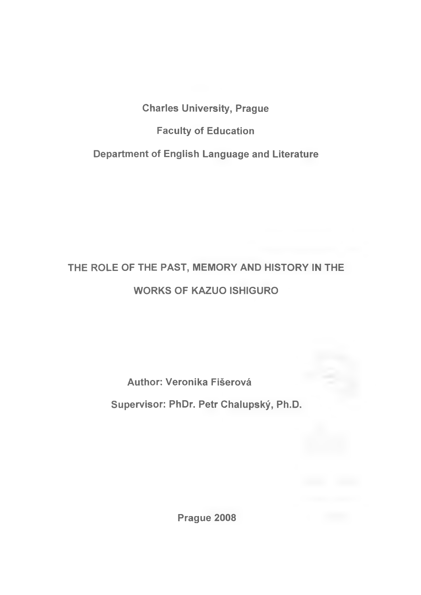**Charles University, Prague**

**Faculty of Education**

**Department of English Language and Literature**

# **THE ROLE OF THE PAST, MEMORY AND HISTORY IN THE WORKS OF KAZUO ISHIGURO**

**Author; Veronika Fišerová**

**Supervisor: PhDr. Petr Chalupský, Ph.D.**

**Prague 2008**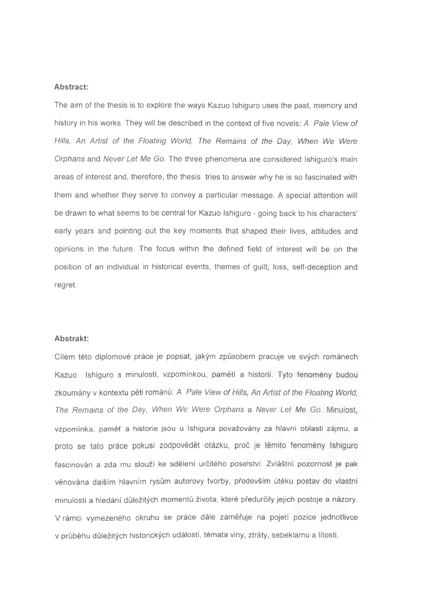#### **Abstract:**

The aim of the thesis is to explore the ways Kazuo Ishiguro uses the past, memory and history in his works. They will be described in the context of five novels: *A Pale View of Hills, An Artist of the Floating World, The Remains of the Day, When We Were Orphans* and *Never Let Me Go.* The three phenomena are considered Ishiguro's main areas of interest and, therefore, the thesis tries to answer why he is so fascinated with them and whether they serve to convey a particular message. A special attention will be drawn to what seems to be central for Kazuo Ishiguro - going back to his characters' early years and pointing out the key moments that shaped their lives, attitudes and opinions in the future. The focus within the defined field of interest will be on the position of an individual in historical events, themes of guilt, loss, self-deception and regret.

# **Abstrakt:**

Cílem této diplomové práce je popsat, jakým způsobem pracuje ve svých románech Kazuo Ishiguro s minulostí, vzpomínkou, pamětí a historií. Tyto fenomény budou zkoumány v kontextu pěti románů: *A Pale View of Hills, An Artist of the Floating World, The Remains of the Day, When We Were Orphans* a *Never Let Me Go.* Minulost, vzpomínka, paměť a historie jsou u Ishigura považovány za hlavní oblasti zájmu, a proto se tato práce pokusí zodpovědět otázku, proč je těmito fenomény Ishiguro fascinován a zda mu slouží ke sdělení určitého poselství. Zvláštní pozornost je pak věnována dalším hlavním rysům autorovy tvorby, především útěku postav do vlastní minulosti a hledání důležitých momentů života, které předurčily jejich postoje a názory. V rámci vymezeného okruhu se práce dále zaměřuje na pojetí pozice jednotlivce v průběhu důležitých historických událostí, témata viny, ztráty, sebeklamu a lítosti.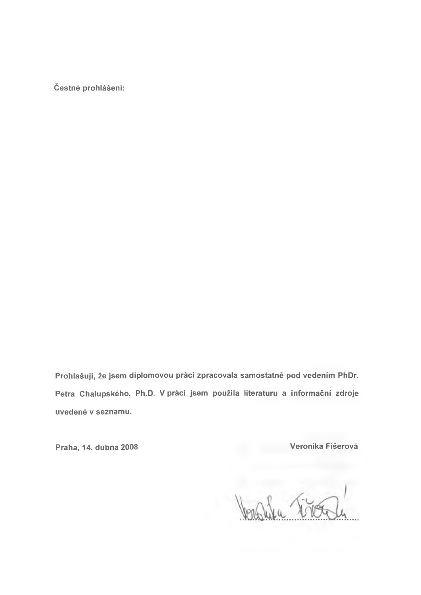**čestné prohlášení:**

**Prohlašuji, že jsem diplomovou práci zpracovala samostatně pod vedením PhDr. Petra Chalupského, Ph.D. V práci jsem použila literaturu a informační zdroje uvedené v seznamu.**

**Praha, 14. dubna 2008 Veronika Fišerová**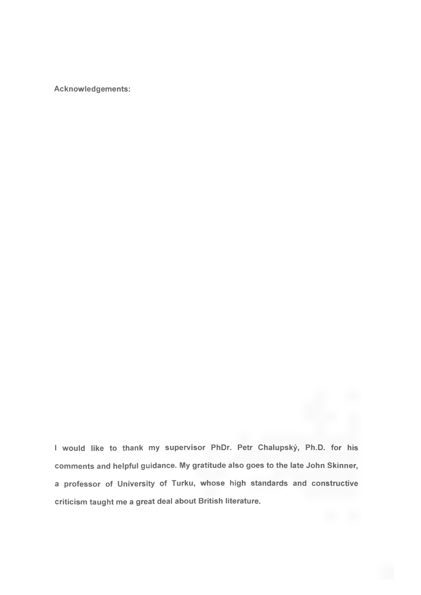**Acknowledgements:**

**I would like to thank my supervisor PhDr. Petr Chalupský, Ph.D. for his comments and helpful guidance. My gratitude also goes to the late John Skinner, a professor of University of Turku, whose high standards and constructive criticism taught me a great deal about British literature.**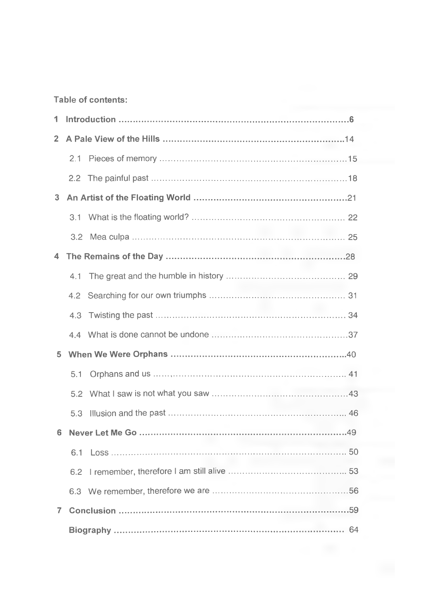# Table of contents:

| 1              |                  |  |  |
|----------------|------------------|--|--|
| 2 <sup>1</sup> |                  |  |  |
|                | 2.1              |  |  |
|                |                  |  |  |
| 3 <sup>1</sup> |                  |  |  |
|                |                  |  |  |
|                | 3.2 <sub>1</sub> |  |  |
| 4              |                  |  |  |
|                |                  |  |  |
|                | $4.2^{\circ}$    |  |  |
|                | 4.3              |  |  |
|                |                  |  |  |
| 5              |                  |  |  |
|                | 5.1              |  |  |
|                |                  |  |  |
|                | 5.3              |  |  |
| 6              |                  |  |  |
|                | 6.1              |  |  |
|                | 6.2              |  |  |
|                |                  |  |  |
| 7.             |                  |  |  |
|                |                  |  |  |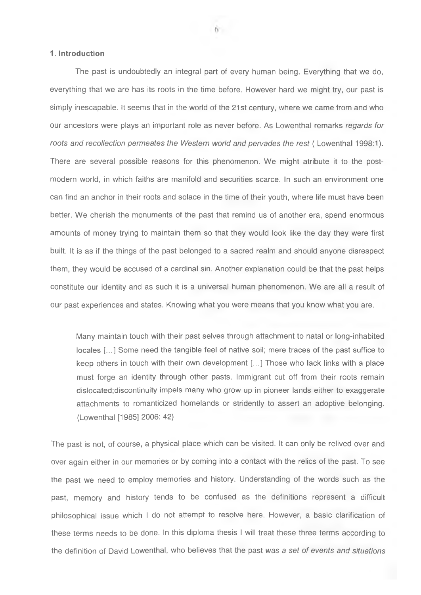#### <span id="page-5-0"></span>**1. Introduction**

The past is undoubtedly an integral part of every human being. Everything that we do, everything that we are has its roots in the time before. However hard we might try, our past is simply inescapable. It seems that in the world of the 21st century, where we came from and who our ancestors were plays an important role as never before. As Lowenthal remarks *regards for roots and recollection permeates the Western world and pervades the rest* ( Lowenthal 1998:1). There are several possible reasons for this phenomenon. We might atribute it to the postmodern world, in which faiths are manifold and securities scarce. In such an environment one can find an anchor in their roots and solace in the time of their youth, where life must have been better. We cherish the monuments of the past that remind us of another era, spend enormous amounts of money trying to maintain them so that they would look like the day they were first built. It is as if the things of the past belonged to a sacred realm and should anyone disrespect them, they would be accused of a cardinal sin. Another explanation could be that the past helps constitute our identity and as such it is a universal human phenomenon. We are all a result of our past experiences and states. Knowing what you were means that you know what you are.

Many maintain touch with their past selves through attachment to natal or long-inhabited locales [...] Some need the tangible feel of native soil; mere traces of the past suffice to keep others in touch with their own development [...] Those who lack links with a place must forge an identity through other pasts. Immigrant cut off from their roots remain dislocated;discontinuity impels many who grow up in pioneer lands either to exaggerate attachments to romanticized homelands or stridently to assert an adoptive belonging. (Lowenthal [1985] 2006: 42)

The past is not, of course, a physical place which can be visited. It can only be relived over and over again either in our memories or by coming into a contact with the relics of the past. To see the past we need to employ memories and history. Understanding of the words such as the past, memory and history tends to be confused as the definitions represent a difficult philosophical issue which 1 do not attempt to resolve here. However, a basic clarification of these terms needs to be done. In this diploma thesis 1 will treat these three terms according to the definition of David Lowenthal, who believes that the past *was a set of events and situations*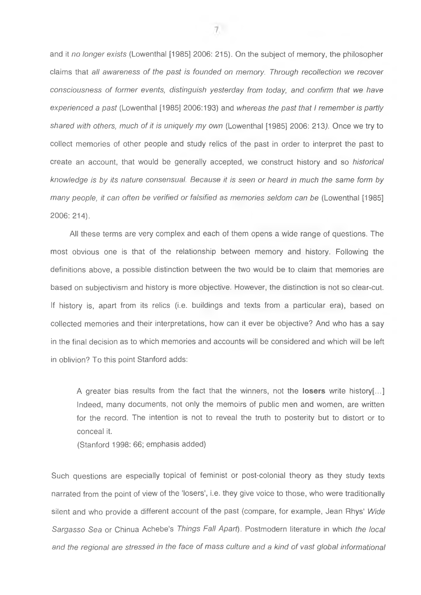and it *no longer exists* (Lowenthal [1985] 2006: 215). On the subject of memory, the philosopher claims that *all awareness of the past is founded on memory. Through recollection we recover consciousness of former events, distinguish yesterday from today, and confirm that we have experienced a past* (Lowenthal [1985] 2006:193) and *whereas the past that I remember is partly* shared with others, much of it is uniquely my own (Lowenthal [1985] 2006: 213). Once we try to collect memories of other people and study relics of the past in order to interpret the past to create an account, that would be generally accepted, we construct history and so *historical knowledge is by its nature consensual. Because it is seen or heard in much the same form by many people, it can often be verified or falsified as memories seldom can be* (Lowenthal [1985] 2006: 214).

All these terms are very complex and each of them opens a wide range of questions. The most obvious one is that of the relationship between memory and history. Following the definitions above, a possible distinction between the two would be to claim that memories are based on subjectivism and history is more objective. However, the distinction is not so clear-cut. If history is, apart from its relics (i.e. buildings and texts from a particular era), based on collected memories and their interpretations, how can it ever be objective? And who has a say in the final decision as to which memories and accounts will be considered and which will be left in oblivion? To this point Stanford adds:

**A** greater bias results from the fact that the winners, not the **losers** write history[...] Indeed, many documents, not only the memoirs of public men and women, are written for the record. The intention is not to reveal the truth to posterity but to distort or to conceal it.

(Stanford 1998: 66; emphasis added)

Such questions are especially topical of feminist or post-colonial theory as they study texts narrated from the point of view of the 'losers', i.e. they give voice to those, who were traditionally silent and who provide a different account of the past (compare, for example, Jean Rhys' *Wide Sargasso Sea* or Chinua Achebe's *Things Fall Apart).* Postmodern literature in which *the local and the regional are stressed in the face of mass culture and a kind of vast global informational*

 $\tau$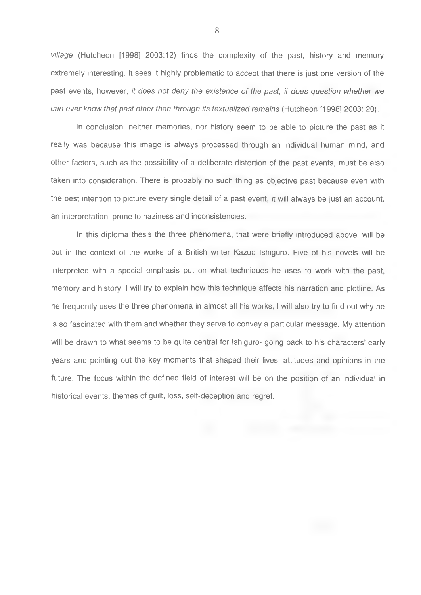*village* (Hutcheon [1998] 2003:12) finds the complexity of the past, history and memory extremely interesting. It sees it highly problematic to accept that there is just one version of the past events, however, *it does not deny the existence of the past; it does question whether we can ever know that past other than through its textualized remains* (Hutcheon [1998] 2003: 20).

In conclusion, neither memories, nor history seem to be able to picture the past as it really was because this image is always processed through an individual human mind, and other factors, such as the possibility of a deliberate distortion of the past events, must be also taken into consideration. There is probably no such thing as objective past because even with the best intention to picture every single detail of a past event, it will always be just an account, an interpretation, prone to haziness and inconsistencies.

In this diploma thesis the three phenomena, that were briefly introduced above, will be put in the context of the works of a British writer Kazuo Ishiguro. Five of his novels will be interpreted with a special emphasis put on what techniques he uses to work with the past, memory and history. I will try to explain how this technique affects his narration and plotline. As he frequently uses the three phenomena in almost all his works, I will also try to find out why he is so fascinated with them and whether they serve to convey a particular message. My attention will be drawn to what seems to be quite central for Ishiguro- going back to his characters' early years and pointing out the key moments that shaped their lives, attitudes and opinions in the future. The focus within the defined field of interest will be on the position of an individual in historical events, themes of guilt, loss, self-deception and regret.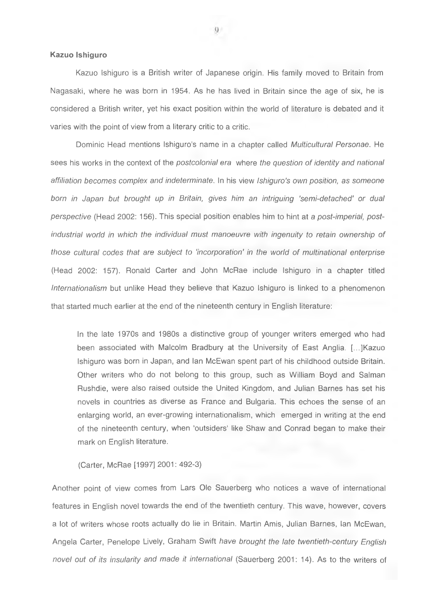#### **Kazuo Ishiguro**

Kazuo Ishiguro is a British writer of Japanese origin. His family moved to Britain from Nagasaki, where he was born in 1954. As he has lived in Britain since the age of six, he is considered a British writer, yet his exact position within the world of literature is debated and it varies with the point of view from a literary critic to a critic.

Dominic Head mentions Ishiguro's name in a chapter called *Multicultural Personae.* He sees his works in the context of the *postcolonial era* where *the question of identity and national affiliation becomes complex and indeterminate.* In his view *Ishiguro's own position, as someone born in Japan but brought up in Britain, gives him an intriguing 'semi-detached' or dual perspective* (Head 2002: 156). This special position enables him to hint at a *post-imperial, postindustrial world in which the individual must manoeuvre with ingenuity to retain ownership of those cultural codes that are subject to 'incorporation' in the world of multinational enterprise* (Head 2002: 157). Ronald Carter and John McRae include Ishiguro in a chapter titled *Internationalism* but unlike Head they believe that Kazuo Ishiguro is linked to a phenomenon that started much earlier at the end of the nineteenth century in English literature:

In the late 1970s and 1980s a distinctive group of younger writers emerged who had been associated with Malcolm Bradbury at the University of East Anglia. [...JKazuo Ishiguro was born in Japan, and Ian McEwan spent part of his childhood outside Britain. Other writers who do not belong to this group, such as William Boyd and Salman Rushdie, were also raised outside the United Kingdom, and Julian Barnes has set his novels in countries as diverse as France and Bulgaria. This echoes the sense of an enlarging world, an ever-growing internationalism, which emerged in writing at the end of the nineteenth century, when 'outsiders' like Shaw and Conrad began to make their mark on English literature.

(Carter, McRae [1997] 2001: 492-3)

Another point of view comes from Lars Ole Sauerberg who notices a wave of international features in English novel towards the end of the twentieth century. This wave, however, covers a lot of writers whose roots actually do lie in Britain. Martin Amis, Julian Barnes, Ian McEwan, Angela Carter, Penelope Lively, Graham Swift *have brought the late twentieth-century English novel out of its insularity and made it international* (Sauerberg 2001: 14). As to the writers of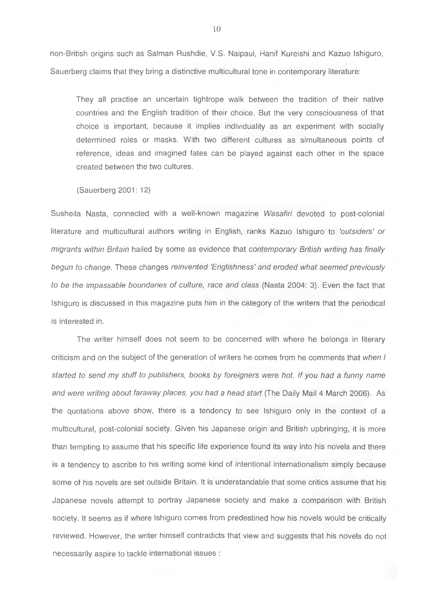non-British origins such as Salman Rushdie, V.S. Naipaul, Hanif Kureishi and Kazuo Ishiguro, Sauerberg claims that they bring a distinctive multicultural tone in contemporary literature:

They all practise an uncertain tightrope walk between the tradition of their native countries and the English tradition of their choice. But the very consciousness of that choice is important, because it implies individuality as an experiment with socially determined roles or masks. With two different cultures as simultaneous points of reference, ideas and imagined fates can be played against each other in the space created between the two cultures.

(Sauerberg 2001: 12)

Susheila Nasta, connected with a well-known magazine *Wasafiri* devoted to post-colonial literature and multicultural authors writing in English, ranks Kazuo Ishiguro to *'outsiders' or migrants within Britain* hailed by some as evidence that *contemporary British writing has finally begun to change.* These changes *reinvented 'Englishness' and eroded what seemed previously to be the impassable boundaries of culture, race and class* (Nasta 2004: 3). Even the fact that Ishiguro is discussed in this magazine puts him in the category of the writers that the periodical is interested in.

The writer himself does not seem to be concerned with where he belongs in literary criticism and on the subject of the generation of writers he comes from he comments that *when I started to send my stuff to publishers, books by foreigners were hot. If you had a funny name and were writing about faraway places, you had a head start* (The Daily Mail 4 March 2006). As the quotations above show, there is a tendency to see Ishiguro only in the context of a multicultural, post-colonial society. Given his Japanese origin and British upbringing, it is more than tempting to assume that his specific life experience found its way into his novels and there is a tendency to ascribe to his writing some kind of intentional internationalism simply because some of his novels are set outside Britain. It is understandable that some critics assume that his Japanese novels attempt to portray Japanese society and make a comparison with British society. It seems as if where Ishiguro comes from predestined how his novels would be critically reviewed. However, the writer himself contradicts that view and suggests that his novels do not necessarily aspire to tackle international issues :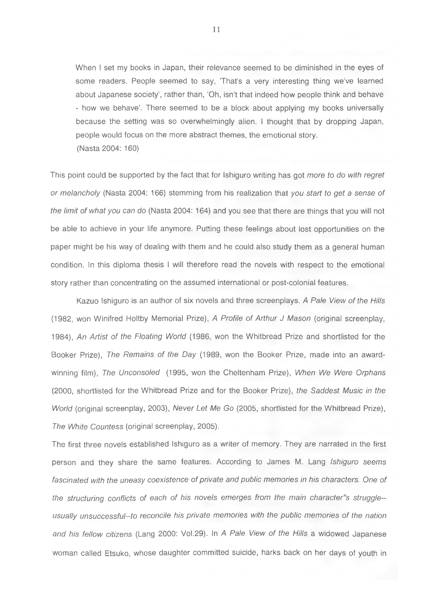When I set my books in Japan, their relevance seemed to be diminished in the eyes of some readers. People seemed to say, 'That's a very interesting thing we've learned about Japanese society', rather than, 'Oh, isn't that indeed how people think and behave - how we behave'. There seemed to be a block about applying my books universally because the setting was so overwhelmingly alien. I thought that by dropping Japan, people would focus on the more abstract themes, the emotional story. (Nasta 2004: 160)

This point could be supported by the fact that for Ishiguro writing has got *more to do with regret or melancholy* (Nasta 2004: 166) stemming from his realization that *you start to get a sense of the limit of what you can do* (Nasta 2004: 164) and you see that there are things that you will not be able to achieve in your life anymore. Putting these feelings about lost opportunities on the paper might be his way of dealing with them and he could also study them as a general human condition. In this diploma thesis 1 will therefore read the novels with respect to the emotional story rather than concentrating on the assumed international or post-colonial features.

Kazuo Ishiguro is an author of six novels and three screenplays. *A Pale View of the Hills* (1982, won Winifred Holtby Memorial Prize), *A Profile of Arthur J Mason* (original screenplay, 1984), *An Artist of the Floating World* (1986, won the Whitbread Prize and shortlisted for the Booker Prize), *The Remains of the Day* (1989, won the Booker Prize, made into an awardwinning film). *The Unconsoled* (1995, won the Cheltenham Prize), *When We Were Orphans* (2000, shortlisted for the Whitbread Prize and for the Booker Prize), *the Saddest Music in the World* (original screenplay, 2003), *Never Let Me Go* (2005, shortlisted for the Whitbread Prize), *The White Countess* (original screenplay, 2005).

The first three novels established Ishiguro as a writer of memory. They are narrated in the first person and they share the same features. According to James M. Lang *Ishiguro seems fascinated with the uneasy coexistence of private and public memories in his characters. One of the structuring conflicts of each of his novels emerges from the main character"s struggleusually unsuccessful-to reconcile his private memories with the public memories of the nation and his fellow citizens* (Lang 2000: Vol.29). In *A Pale View of the Hills* a widowed Japanese woman called Etsuko, whose daughter committed suicide, harks back on her days of youth in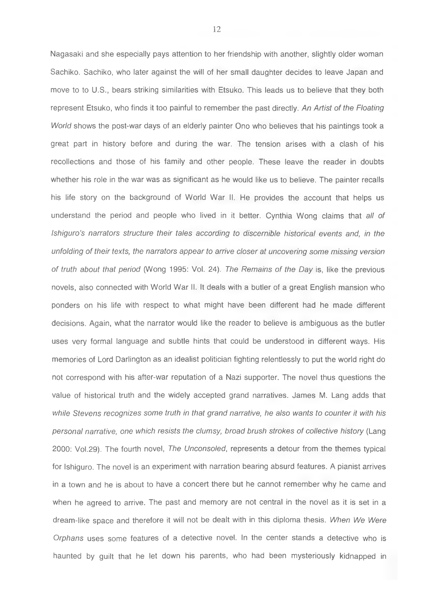Nagasaki and she especially pays attention to her friendship with another, slightly older woman Sachiko. Sachiko, who later against the will of her small daughter decides to leave Japan and move to to U.S., bears striking similarities with Etsuko. This leads us to believe that they both represent Etsuko, who finds it too painful to remember the past directly. *An Artist of the Floating World* shows the post-war days of an elderly painter Ono who believes that his paintings took a great part in history before and during the war. The tension arises with a clash of his recollections and those of his family and other people. These leave the reader in doubts whether his role in the war was as significant as he would like us to believe. The painter recalls his life story on the background of World War II. He provides the account that helps us understand the period and people who lived in it better. Cynthia Wong claims that *all of Ishiguro's narrators structure their tales according to discernible historical events and, in the unfolding of their texts, the narrators appear to arrive closer at uncovering some missing version of truth about that period* (Wong 1995: Vol. 24). *The Remains of the Day* is, like the previous novels, also connected with World War 11. It deals with a butler of a great English mansion who ponders on his life with respect to what might have been different had he made different decisions. Again, what the narrator would like the reader to believe is ambiguous as the butler uses very formal language and subtle hints that could be understood in different ways. His memories of Lord Darlington as an idealist politician fighting relentlessly to put the world right do not correspond with his after-war reputation of a Nazi supporter. The novel thus questions the value of historical truth and the widely accepted grand narratives. James M. Lang adds that while Stevens recognizes some truth in that grand narrative, he also wants to counter it with his *personal narrative, one which resists the clumsy, broad brush strokes of collective history* (Lang 2000: Vol.29). The fourth novel. *The Unconsoled,* represents a detour from the themes typical for Ishiguro. The novel is an experiment with narration bearing absurd features. A pianist arrives in a town and he is about to have a concert there but he cannot remember why he came and when he agreed to arrive. The past and memory are not central in the novel as it is set in a dream-like space and therefore it will not be dealt with in this diploma thesis. *When We Were Orphans* uses some features of a detective novel. In the center stands a detective who is haunted by guilt that he let down his parents, who had been mysteriously kidnapped in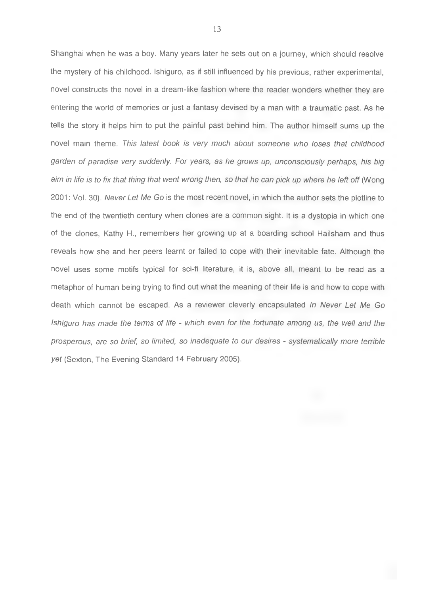Shanghai when he was a boy. Many years later he sets out on a journey, which should resolve the mystery of his childhood. Ishiguro, as if still influenced by his previous, rather experimental, novel constructs the novel in a dream-like fashion where the reader wonders whether they are entering the world of memories or just a fantasy devised by a man with a traumatic past. As he tells the story it helps him to put the painful past behind him. The author himself sums up the novel main theme. *This latest book is very much about someone who loses that childhood garden of paradise very suddenly. For years, as he grows up, unconsciously perhaps, his big aim in life is to fix that thing that went wrong then, so that he can pick up where he left off* (Wong 2001: Vol. 30). *Never Let Me Go* is the most recent novel, in which the author sets the plotline to the end of the twentieth century when clones are a common sight. It is a dystopia in which one of the clones, Kathy H., remembers her growing up at a boarding school Hailsham and thus reveals how she and her peers learnt or failed to cope with their inevitable fate. Although the novel uses some motifs typical for sci-fi literature, it is, above all, meant to be read as a metaphor of human being trying to find out what the meaning of their life is and how to cope with death which cannot be escaped. As a reviewer cleverly encapsulated *In Never Let Me Go Ishiguro has made the terms of life - which even for the fortunate among us, the well and the prosperous, are so brief, so limited, so inadequate to our desires - systematically more terrible yet* (Sexton, The Evening Standard 14 February 2005).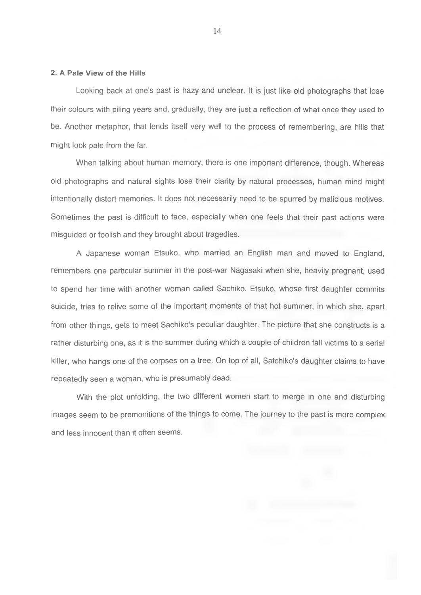#### **2. A Pale View of the Hills**

Looking back at one's past is hazy and unclear. It is just like old photographs that lose their colours with piling years and, gradually, they are just a reflection of what once they used to be. Another metaphor, that lends itself very well to the process of remembering, are hills that might look pale from the far.

When talking about human memory, there is one important difference, though. Whereas old photographs and natural sights lose their clarity by natural processes, human mind might intentionally distort memories. It does not necessarily need to be spurred by malicious motives. Sometimes the past is difficult to face, especially when one feels that their past actions were misguided or foolish and they brought about tragedies.

A Japanese woman Etsuko, who married an English man and moved to England, remembers one particular summer in the post-war Nagasaki when she, heavily pregnant, used to spend her time with another woman called Sachiko. Etsuko, whose first daughter commits suicide, tries to relive some of the important moments of that hot summer, in which she, apart from other things, gets to meet Sachiko's peculiar daughter. The picture that she constructs is a rather disturbing one, as it is the summer during which a couple of children fall victims to a serial killer, who hangs one of the corpses on a tree. On top of all, Satchiko's daughter claims to have repeatedly seen a woman, who is presumably dead.

With the plot unfolding, the two different women start to merge in one and disturbing images seem to be premonitions of the things to come. The journey to the past is more complex and less innocent than it often seems.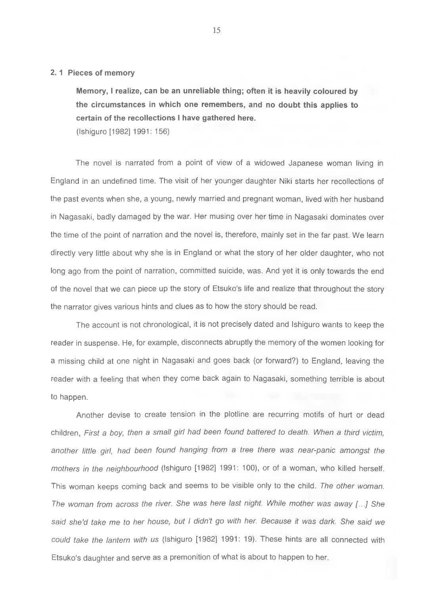#### **2.1 Pieces of memory**

**Memory, I realize, can be an unreliable thing; often it is heavily coloured by the circumstances in which one remembers, and no doubt this applies to certain of the recollections I have gathered here.**

(Ishiguro [1982] 1991: 156)

The novel is narrated from a point of view of a widowed Japanese woman living in England in an undefined time. The visit of her younger daughter Niki starts her recollections of the past events when she, a young, newly married and pregnant woman, lived with her husband in Nagasaki, badly damaged by the war. Her musing over her time in Nagasaki dominates over the time of the point of narration and the novel is, therefore, mainly set in the far past. We learn directly very little about why she is in England or what the story of her older daughter, who not long ago from the point of narration, committed suicide, was. And yet it is only towards the end of the novel that we can piece up the story of Etsuko's life and realize that throughout the story the narrator gives various hints and clues as to how the story should be read.

The account is not chronological, it is not precisely dated and Ishiguro wants to keep the reader in suspense. He, for example, disconnects abruptly the memory of the women looking for a missing child at one night in Nagasaki and goes back (or forward?) to England, leaving the reader with a feeling that when they come back again to Nagasaki, something terrible is about to happen.

Another devise to create tension in the plotline are recurring motifs of hurt or dead children. *First a boy, then a small girl had been found battered to death. When a third victim, another little girl, had been found hanging from a tree there* was *near-panic amongst the mothers in the neighbourhood* (Ishiguro [1982] 1991: 100), or of a woman, who killed herself. This woman keeps coming back and seems to be visible only to the child. *The other woman. The woman from across the river. She was here last night. While mother was away [...] She said she'd take me to her house, but I didn't go with her Because it was dark. She said we could take the lantern with us* (Ishiguro [1982] 1991: 19). These hints are all connected with Etsuko's daughter and serve as a premonition of what is about to happen to her.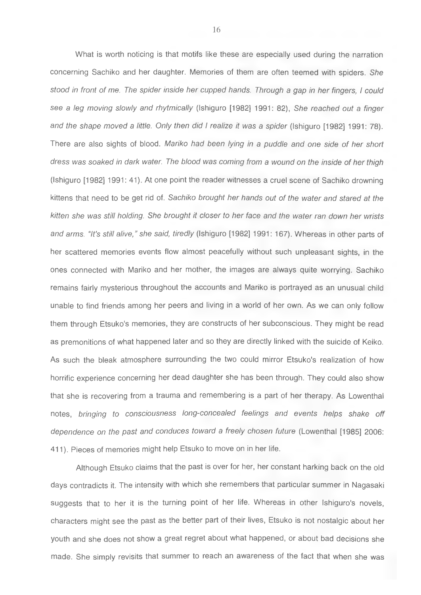What is worth noticing is that motifs like these are especially used during the narration concerning Sachiko and her daughter. Memories of them are often teemed with spiders. *She stood in front of me. The spider inside her cupped hands. Through a gap in her fingers, I could see a leg moving slowly and rhytmically* (Ishiguro [1982] 1991: 82), *She reached out a finger* and the shape moved a little. Only then did I realize it was a spider (Ishiguro [1982] 1991: 78). There are also sights of blood. *Mariko had been lying in a puddle and one side of her short dress was soaked in dark water. The blood was coming from a wound on the inside of her thigh* (Ishiguro [1982] 1991: 41). At one point the reader witnesses a cruel scene of Sachiko drowning kittens that need to be get rid of. *Sachiko brought her hands out of the water and stared at the kitten she was still holding. She brought it closer to her face and the water ran down her wrists and arms. "It's still alive," she said, tiredly* (Ishiguro [1982] 1991: 167). Whereas in other parts of her scattered memories events flow almost peacefully without such unpleasant sights, in the ones connected with Mariko and her mother, the images are always quite worrying. Sachiko remains fairly mysterious throughout the accounts and Mariko is portrayed as an unusual child unable to find friends among her peers and living in a world of her own. As we can only follow them through Etsuko's memories, they are constructs of her subconscious. They might be read as premonitions of what happened later and so they are directly linked with the suicide of Keiko. As such the bleak atmosphere surrounding the two could mirror Etsuko's realization of how horrific experience concerning her dead daughter she has been through. They could also show that she is recovering from a trauma and remembering is a part of her therapy. As Lowenthal notes, *bringing to consciousness long-concealed feelings and events helps shake off dependence on the past and conduces toward a freely chosen future* (Lowenthal [1985] 2006: 411). Pieces of memories might help Etsuko to move on in her life.

Although Etsuko claims that the past is over for her, her constant harking back on the old days contradicts it. The intensity with which she remembers that particular summer in Nagasaki suggests that to her it is the turning point of her life. Whereas in other Ishiguro's novels, characters might see the past as the better part of their lives, Etsuko is not nostalgic about her youth and she does not show a great regret about what happened, or about bad decisions she made. She simply revisits that summer to reach an awareness of the fact that when she was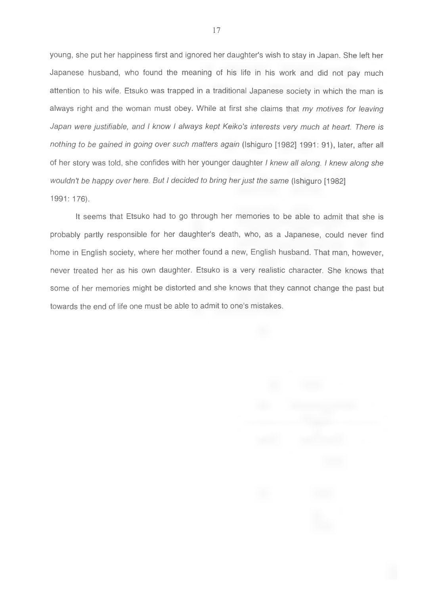young, she put her happiness first and ignored her daughter's wish to stay in Japan. She left her Japanese husband, who found the meaning of his life in his work and did not pay much attention to his wife. Etsuko was trapped in a traditional Japanese society in which the man is always right and the woman must obey. While at first she claims that *my motives for leaving Japan were justifiable, and I know I always kept Keiko's interests very much at heart. There is nothing to be gained in going over such matters again* (Ishiguro [1982] 1991: 91), later, after all of her story was told, she confides with her younger daughter *I knew all along. I knew along she wouldn't be happy over here. But I decided to bring her just the same* (Ishiguro [1982] 1991: 176).

It seems that Etsuko had to go through her memories to be able to admit that she is probably partly responsible for her daughter's death, who, as a Japanese, could never find home in English society, where her mother found a new, English husband. That man, however, never treated her as his own daughter. Etsuko is a very realistic character. She knows that some of her memories might be distorted and she knows that they cannot change the past but towards the end of life one must be able to admit to one's mistakes.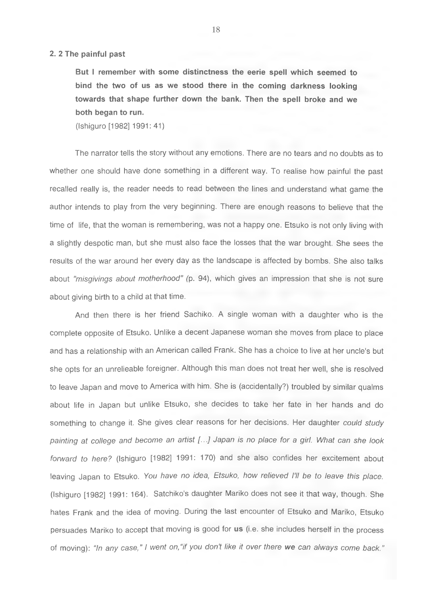#### **2. 2 The painful past**

**But I remember with some distinctness the eerie spell which seemed to bind the two of us as we stood there in the coming darkness looking towards that shape further down the bank. Then the spell broke and we both began to run.**

(Ishiguro [1982] 1991:41)

The narrator tells the story without any emotions. There are no tears and no doubts as to whether one should have done something in a different way. To realise how painful the past recalled really is, the reader needs to read between the lines and understand what game the author intends to play from the very beginning. There are enough reasons to believe that the time of life, that the woman is remembering, was not a happy one. Etsuko is not only living with a slightly despotic man, but she must also face the losses that the war brought. She sees the results of the war around her every day as the landscape is affected by bombs. She also talks about *"misgivings about motherhood"* (p. 94), which gives an impression that she is not sure about giving birth to a child at that time.

And then there is her friend Sachiko. A single woman with a daughter who is the complete opposite of Etsuko. Unlike a decent Japanese woman she moves from place to place and has a relationship with an American called Frank. She has a choice to live at her uncle's but she opts for an unrelieable foreigner. Although this man does not treat her well, she is resolved to leave Japan and move to America with him. She is (accidentally?) troubled by similar qualms about life in Japan but unlike Etsuko, she decides to take her fate in her hands and do something to change it. She gives clear reasons for her decisions. Her daughter *could study painting at college and become an artist [...] Japan is no place for a girl. What can she look forward to here?* (Ishiguro [1982] 1991: 170) and she also confides her excitement about leaving Japan to Etsuko. *You have no idea, Etsuko, how relieved I'll be to leave this place.* (Ishiguro [1982] 1991: 164). Satchiko's daughter Mariko does not see it that way, though. She hates Frank and the idea of moving. During the last encounter of Etsuko and Mariko, Etsuko persuades Mariko to accept that moving is good for **us** (i.e. she includes herself in the process of moving): *"In any case," I went on,"if you don't like it over there we can always come back."*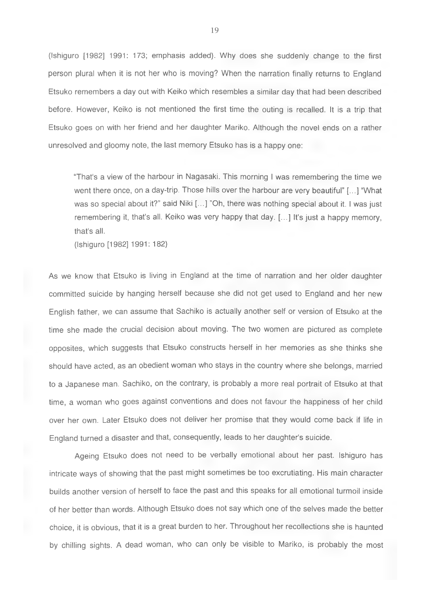(Ishiguro [1982] 1991: 173; emphasis added). Why does she suddenly change to the first person plural when it is not her who is moving? When the narration finally returns to England Etsuko remembers a day out with Keiko which resembles a similar day that had been described before. However, Keiko is not mentioned the first time the outing is recalled. It is a trip that Etsuko goes on with her friend and her daughter Mariko. Although the novel ends on a rather unresolved and gloomy note, the last memory Etsuko has is a happy one:

"That's a view of the harbour in Nagasaki. This morning 1 was remembering the time we went there once, on a day-trip. Those hills over the harbour are very beautiful" [...] "What was so special about it?" said Niki [...] "Oh, there was nothing special about it. I was just remembering it, that's all. Keiko was very happy that day. [...] It's just a happy memory, that's all.

(Ishiguro [1982] 1991: 182)

As we know that Etsuko is living in England at the time of narration and her older daughter committed suicide by hanging herself because she did not get used to England and her new English father, we can assume that Sachiko is actually another self or version of Etsuko at the time she made the crucial decision about moving. The two women are pictured as complete opposites, which suggests that Etsuko constructs herself in her memories as she thinks she should have acted, as an obedient woman who stays in the country where she belongs, married to a Japanese man. Sachiko, on the contrary, is probably a more real portrait of Etsuko at that time, a woman who goes against conventions and does not favour the happiness of her child over her own. Later Etsuko does not deliver her promise that they would come back if life in England turned a disaster and that, consequently, leads to her daughter's suicide.

Ageing Etsuko does not need to be verbally emotional about her past. Ishiguro has intricate ways of showing that the past might sometimes be too excrutiating. His main character builds another version of herself to face the past and this speaks for all emotional turmoil inside of her better than words. Although Etsuko does not say which one of the selves made the better choice, it is obvious, that it is a great burden to her. Throughout her recollections she is haunted by chilling sights. A dead woman, who can only be visible to Mariko, is probably the most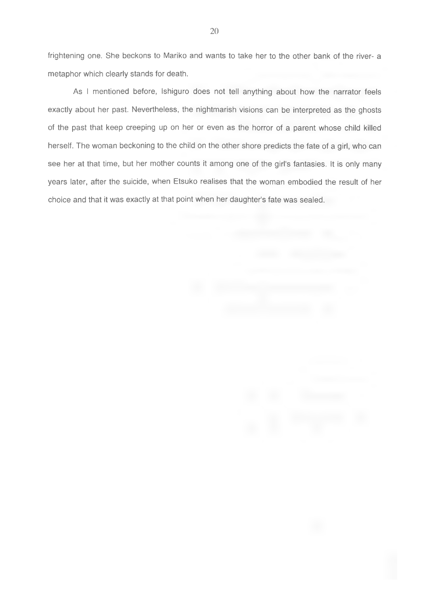frightening one. She beckons to Mariko and wants to take her to the other bank of the river- a metaphor which clearly stands for death.

As I mentioned before, Ishiguro does not tell anything about how the narrator feels exactly about her past. Nevertheless, the nightmarish visions can be interpreted as the ghosts of the past that keep creeping up on her or even as the horror of a parent whose child killed herself. The woman beckoning to the child on the other shore predicts the fate of a girl, who can see her at that time, but her mother counts it among one of the girl's fantasies. It is only many years later, after the suicide, when Etsuko realises that the woman embodied the result of her choice and that it was exactly at that point when her daughter's fate was sealed.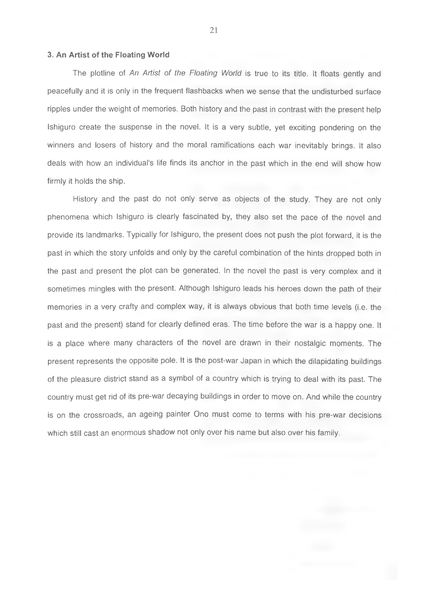#### <span id="page-20-0"></span>**3. An Artist of the Floating World**

The plotline of *An Artist of the Floating World* is true to its title. It floats gently and peacefully and it is only in the frequent flashbacks when we sense that the undisturbed surface ripples under the weight of memories. Both history and the past in contrast with the present help Ishiguro create the suspense in the novel. It is a very subtle, yet exciting pondering on the winners and losers of history and the moral ramifications each war inevitably brings. It also deals with how an individual's life finds its anchor in the past which in the end will show how firmly it holds the ship.

History and the past do not only serve as objects of the study. They are not only phenomena which Ishiguro is clearly fascinated by, they also set the pace of the novel and provide its landmarks. Typically for Ishiguro, the present does not push the plot forward, it is the past in which the story unfolds and only by the careful combination of the hints dropped both in the past and present the plot can be generated. In the novel the past is very complex and it sometimes mingles with the present. Although Ishiguro leads his heroes down the path of their memories in a very crafty and complex way, it is always obvious that both time levels (i.e. the past and the present) stand for clearly defined eras. The time before the war is a happy one. It is a place where many characters of the novel are drawn in their nostalgic moments. The present represents the opposite pole. It is the post-war Japan in which the dilapidating buildings of the pleasure district stand as a symbol of a country which is trying to deal with its past. The country must get rid of its pre-war decaying buildings in order to move on. And while the country is on the crossroads, an ageing painter Ono must come to terms with his pre-war decisions which still cast an enormous shadow not only over his name but also over his family.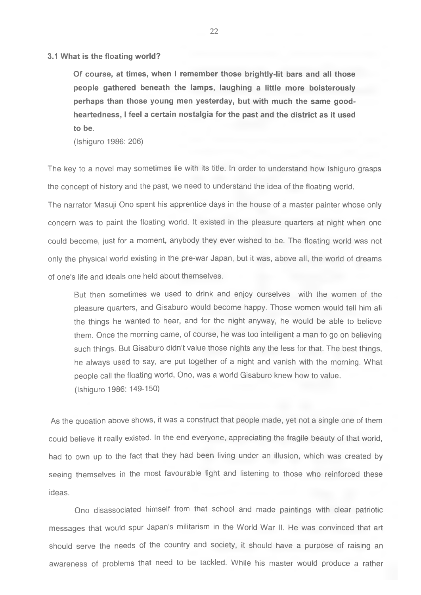**3.1 What is the floating world?**

**Of course, at times, when I remember those brightly-lit bars and all those people gathered beneath the lamps, laughing a little more boisterously perhaps than those young men yesterday, but with much the same goodheartedness, I feel a certain nostalgia for the past and the district as it used to be.**

(Ishiguro 1986; 206)

The key to a novel may sometimes lie with its title. In order to understand how Ishiguro grasps the concept of history and the past, we need to understand the idea of the floating world.

The narrator Masuji Ono spent his apprentice days in the house of a master painter whose only concern was to paint the floating world. It existed in the pleasure quarters at night when one could become, just for a moment, anybody they ever wished to be. The floating world was not only the physical world existing in the pre-war Japan, but it was, above all, the world of dreams of one's life and ideals one held about themselves.

But then sometimes we used to drink and enjoy ourselves with the women of the pleasure quarters, and Gisaburo would become happy. Those women would tell him all the things he wanted to hear, and for the night anyway, he would be able to believe them. Once the morning came, of course, he was too intelligent a man to go on believing such things. But Gisaburo didn't value those nights any the less for that. The best things, he always used to say, are put together of a night and vanish with the morning. What people call the floating world, Ono, was a world Gisaburo knew how to value. (Ishiguro 1986: 149-150)

As the quoation above shows, it was a construct that people made, yet not a single one of them could believe it really existed. In the end everyone, appreciating the fragile beauty of that world, had to own up to the fact that they had been living under an illusion, which was created by seeing themselves in the most favourable light and listening to those who reinforced these ideas.

Ono disassociated himself from that school and made paintings with clear patriotic messages that would spur Japan's militarism in the World War 11. He was convinced that art should serve the needs of the country and society, it should have a purpose of raising an awareness of problems that need to be tackled. While his master would produce a rather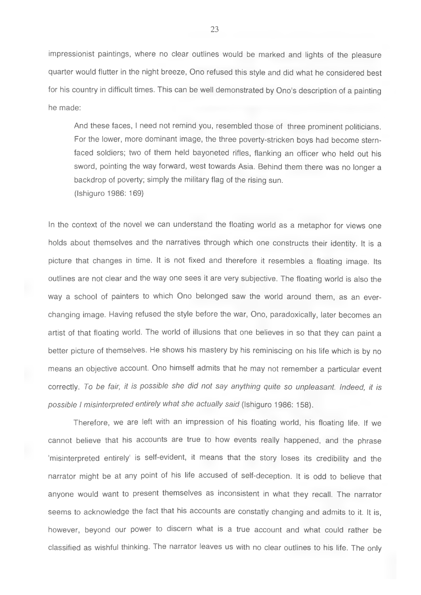impressionist paintings, where no clear outlines would be marked and lights of the pleasure quarter would flutter in the night breeze, Ono refused this style and did what he considered best for his country in difficult times. This can be well demonstrated by Ono's description of a painting he made:

And these faces, I need not remind you, resembled those of three prominent politicians. For the lower, more dominant image, the three poverty-stricken boys had become sternfaced soldiers: two of them held bayoneted rifles, flanking an officer who held out his sword, pointing the way forward, west towards Asia. Behind them there was no longer a backdrop of poverty; simply the military flag of the rising sun. (Ishiguro 1986: 169)

In the context of the novel we can understand the floating world as a metaphor for views one holds about themselves and the narratives through which one constructs their identity. It is a picture that changes in time. It is not fixed and therefore it resembles a floating image. Its outlines are not clear and the way one sees it are very subjective. The floating world is also the way a school of painters to which Ono belonged saw the world around them, as an everchanging image. Having refused the style before the war, Ono, paradoxically, later becomes an artist of that floating world. The world of illusions that one believes in so that they can paint a better picture of themselves. He shows his mastery by his reminiscing on his life which is by no means an objective account. Ono himself admits that he may not remember a particular event correctly. *To be fair, it is possible she did not say anything quite so unpleasant. Indeed, it is possible I misinterpreted entirely what she actually said* (Ishiguro 1986: 158).

Therefore, we are left with an impression of his floating world, his floating life. If we cannot believe that his accounts are true to how events really happened, and the phrase 'misinterpreted entirely' is self-evident, it means that the story loses its credibility and the narrator might be at any point of his life accused of self-deception. It is odd to believe that anyone would want to present themselves as inconsistent in what they recall. The narrator seems to acknowledge the fact that his accounts are constatly changing and admits to it. It is, however, beyond our power to discern what is a true account and what could rather be classified as wishful thinking. The narrator leaves us with no clear outlines to his life. The only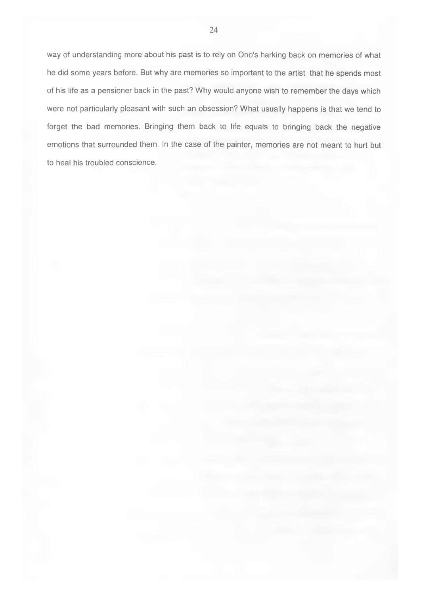way of understanding more about his past is to rely on Ono's harking back on memories of what he did some years before. But why are memories so important to the artist that he spends most of his life as a pensioner back in the past? Why would anyone wish to remember the days which were not particularly pleasant with such an obsession? What usually happens is that we tend to forget the bad memories. Bringing them back to life equals to bringing back the negative emotions that surrounded them. In the case of the painter, memories are not meant to hurt but to heal his troubled conscience.

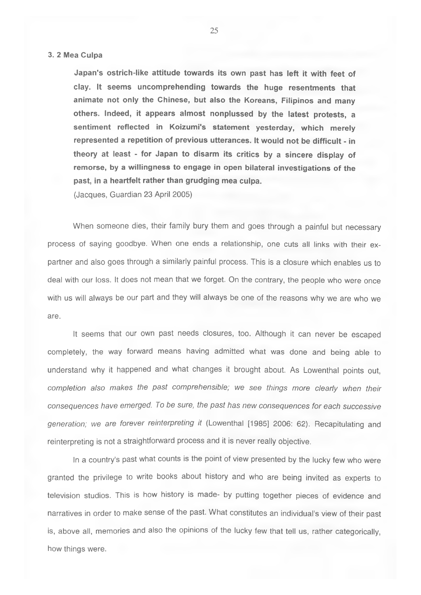#### **3. 2 Mea Culpa**

**Japan's ostrich-like attitude towards its own past has left it with feet of clay. It seems uncomprehending towards the huge resentments that animate not only the Chinese, but also the Koreans, Filipinos and many others. Indeed, it appears almost nonplussed by the latest protests, a sentiment reflected in Koizumi's statement yesterday, which merely represented a repetition of previous utterances. It would not be difficult - in theory at least - for Japan to disarm its critics by a sincere display of remorse, by a willingness to engage in open bilateral investigations of the past, in a heartfelt rather than grudging mea culpa.**

(Jacques, Guardian 23 April 2005)

When someone dies, their family bury them and goes through a painful but necessary process of saying goodbye. When one ends a relationship, one cuts all links with their expartner and also goes through a similarly painful process. This is a closure which enables us to deal with our loss. It does not mean that we forget. On the contrary, the people who were once with us will always be our part and they will always be one of the reasons why we are who we are.

It seems that our own past needs closures, too. Although it can never be escaped completely, the way forward means having admitted what was done and being able to understand why it happened and what changes it brought about. As Lowenthal points out, *completion also makes the past comprehensible; we see things more clearly when their consequences have emerged. To be sure, the past has new consequences for each successive generation; we are forever reinterpreting it* (Lowenthal [1985] 2006: 62). Recapitulating and reinterpreting is not a straightforward process and it is never really objective.

In a country's past what counts is the point of view presented by the lucky few who were granted the privilege to write books about history and who are being invited as experts to television studios. This is how history is made- by putting together pieces of evidence and narratives in order to make sense of the past. What constitutes an individual's view of their past is, above all, memories and also the opinions of the lucky few that tell us, rather categorically, how things were.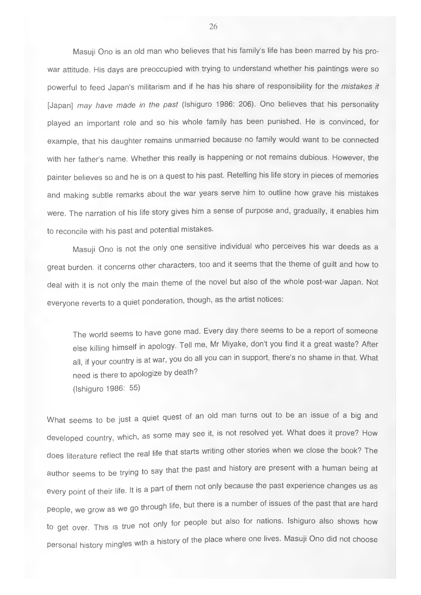Masuji Ono is an old man who believes that his family's life has been marred by his prowar attitude. His days are preoccupied with trying to understand whether his paintings were so powerful to feed Japan's militarism and if he has his share of responsibility for the *mistakes it* [Japan] *may have made in the past* (Ishiguro 1986: 206). Ono believes that his personality played an important role and so his whole family has been punished. He is convinced, for example, that his daughter remains unmarried because no family would want to be connected with her father's name. Whether this really is happening or not remains dubious. However, the painter believes so and he is on a quest to his past. Retelling his life story in pieces of memories and making subtle remarks about the war years serve him to outline how grave his mistakes were. The narration of his life story gives him a sense of purpose and, gradually, it enables him to reconcile with his past and potential mistakes.

Masuji Ono is not the only one sensitive individual who perceives his war deeds as a great burden, it concerns other characters, too and it seems that the theme of guilt and how to deal with it is not only the main theme of the novel but also of the whole post-war Japan. Not everyone reverts to a quiet pondération, though, as the artist notices:

The world seems to have gone mad. Every day there seems to be a report of someone else killing himself in apology. Tell me, Mr Miyake, don't you find it a great waste? After all, if your country is at war, you do all you can in support, there's no shame in that. What need is there to apologize by death? (Ishiguro 1986: 55)

What seems to be just a quiet quest of an old man turns out to be an issue of a big and developed country, which, as some may see it, is not resolved yet. What does it prove? How does literature reflect the real life that starts writing other stories when we close the book? The author seems to be trying to say that the past and history are present with a human being at every point of their life. It is a part of them not only because the past experience changes us as people, we grow as we go through life, but there is a number of issues of the past that are hard to get over. This is true not only for people but also for nations. Ishiguro also shows how personal history mingles with a history of the place where one lives. Masuji Ono did not choose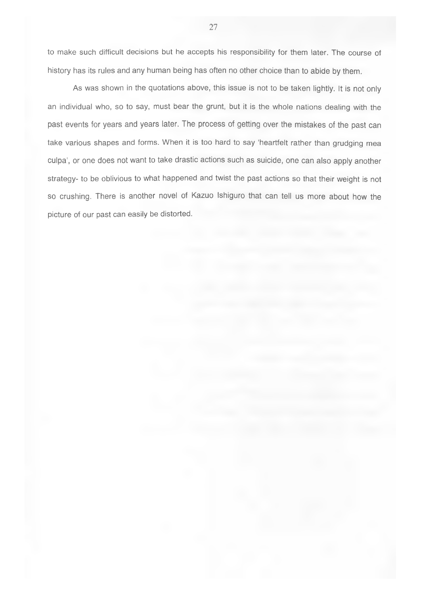to make such difficult decisions but he accepts his responsibility for them later. The course of history has its rules and any human being has often no other choice than to abide by them.

As was shown in the quotations above, this issue is not to be taken lightly. It is not only an individual who, so to say, must bear the grunt, but it is the whole nations dealing with the past events for years and years later. The process of getting over the mistakes of the past can take various shapes and forms. When it is too hard to say 'heartfelt rather than grudging mea culpa', or one does not want to take drastic actions such as suicide, one can also apply another strategy- to be oblivious to what happened and twist the past actions so that their weight is not so crushing. There is another novel of Kazuo Ishiguro that can tell us more about how the picture of our past can easily be distorted.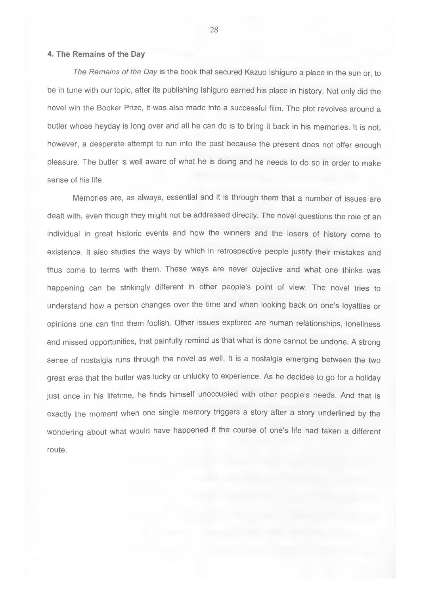#### **4. The Remains of the Day**

*The Remains of the Day* is the book that secured Kazuo Ishiguro a place in the sun or, to be in tune with our topic, after its publishing Ishiguro earned his place in history. Not only did the novel win the Booker Prize, it was also made into a successful film. The plot revolves around a butler whose heyday is long over and all he can do is to bring it back in his memories. It is not, however, a desperate attempt to run into the past because the present does not offer enough pleasure. The butler is well aware of what he is doing and he needs to do so in order to make sense of his life.

Memories are, as always, essential and it is through them that a number of issues are dealt with, even though they might not be addressed directly. The novel questions the role of an individual in great historic events and how the winners and the losers of history come to existence. It also studies the ways by which in retrospective people justify their mistakes and thus come to terms with them. These ways are never objective and what one thinks was happening can be strikingly different in other people's point of view. The novel tries to understand how a person changes over the time and when looking back on one's loyalties or opinions one can find them foolish. Other issues explored are human relationships, loneliness and missed opportunities, that painfully remind us that what is done cannot be undone. A strong sense of nostalgia runs through the novel as well. It is a nostalgia emerging between the two great eras that the butler was lucky or unlucky to experience. As he decides to go for a holiday just once in his lifetime, he finds himself unoccupied with other people's needs. And that is exactly the moment when one single memory triggers a story after a story underlined by the wondering about what would have happened if the course of one's life had taken a different route.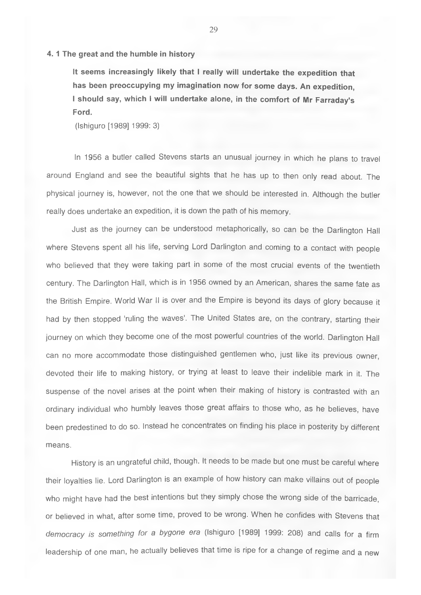#### **4.1 The great and the humble in history**

**It seems increasingly likely that I really will undertake the expedition that has been preoccupying my imagination now for some days. An expedition, I should say, which I will undertake alone, in the comfort of Mr Farraday's Ford.**

(Ishiguro [1989] 1999; 3)

In 1956 a butler called Stevens starts an unusual journey in which he plans to travel around England and see the beautiful sights that he has up to then only read about. The physical journey is, however, not the one that we should be interested in. Although the butler really does undertake an expedition, it is down the path of his memory.

Just as the journey can be understood metaphorically, so can be the Darlington Hall where Stevens spent all his life, serving Lord Darlington and coming to a contact with people who believed that they were taking part in some of the most crucial events of the twentieth century. The Darlington Hall, which is in 1956 owned by an American, shares the same fate as the British Empire. World War II is over and the Empire is beyond its days of glory because it had by then stopped 'ruling the waves'. The United States are, on the contrary, starting their journey on which they become one of the most powerful countries of the world. Darlington Hall can no more accommodate those distinguished gentlemen who, just like its previous owner, devoted their life to making history, or trying at least to leave their indelible mark in it. The suspense of the novel arises at the point when their making of history is contrasted with an ordinary individual who humbly leaves those great affairs to those who, as he believes, have been predestined to do so. Instead he concentrates on finding his place in posterity by different means.

History is an ungrateful child, though. It needs to be made but one must be careful where their loyalties lie. Lord Darlington is an example of how history can make villains out of people who might have had the best intentions but they simply chose the wrong side of the barricade, or believed in what, after some time, proved to be wrong. When he confides with Stevens that *democracy is something for a bygone era* (Ishiguro [1989] 1999; 208) and calls for a firm leadership of one man, he actually believes that time is ripe for a change of regime and a new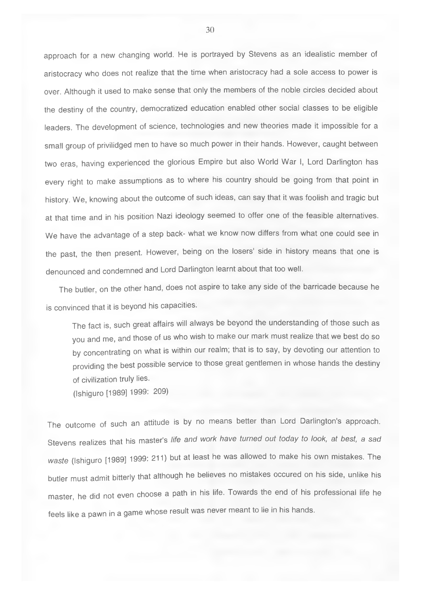approach for a new changing world. He is portrayed by Stevens as an idealistic member of aristocracy who does not realize that the time when aristocracy had a sole access to power is over. Although it used to make sense that only the members of the noble circles decided about the destiny of the country, democratized education enabled other social classes to be eligible leaders. The development of science, technologies and new theories made it impossible for a small group of privilidged men to have so much power in their hands. However, caught between two eras, having experienced the glorious Empire but also World War I, Lord Darlington has every right to make assumptions as to where his country should be going from that point in history. We, knowing about the outcome of such ideas, can say that it was foolish and tragic but at that time and in his position Nazi ideology seemed to offer one of the feasible alternatives. We have the advantage of a step back- what we know now differs from what one could see in the past, the then present. However, being on the losers' side in history means that one is denounced and condemned and Lord Darlington learnt about that too well.

The butler, on the other hand, does not aspire to take any side of the barricade because he is convinced that it is beyond his capacities.

The fact is, such great affairs will always be beyond the understanding of those such as you and me, and those of us who wish to make our mark must realize that we best do so by concentrating on what is within our realm; that is to say, by devoting our attention to providing the best possible service to those great gentlemen in whose hands the destiny of civilization truly lies.

(Ishiguro [1989] 1999: 209)

The outcome of such an attitude is by no means better than Lord Darlington's approach. Stevens realizes that his master's *life and work have turned out today to look, at best, a sad waste* (Ishiguro [1989] 1999: 211) but at least he was allowed to make his own mistakes. The butler must admit bitterly that although he believes no mistakes occured on his side, unlike his master, he did not even choose a path in his life. Towards the end of his professional life he feels like a pawn in a game whose result was never meant to lie in his hands.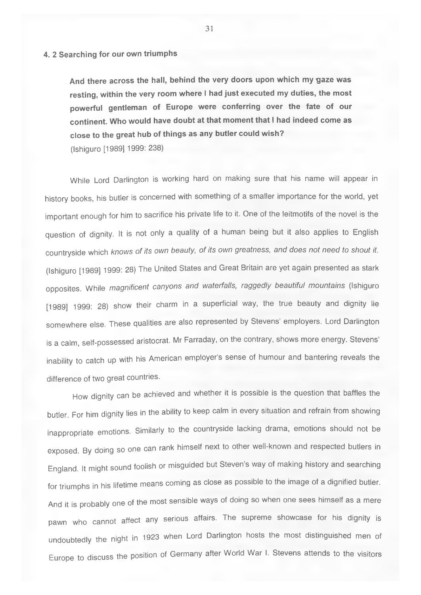# **4. 2 Searching for our own triumphs**

**And there across the hall, behind the very doors upon which my gaze was resting, within the very room where I had just executed my duties, the most powerful gentleman of Europe were conferring over the fate of our continent. Who would have doubt at that moment that I had indeed come as close to the great hub of things as any butler could wish?** (Ishiguro [1989] 1999: 238)

While Lord Darlington is working hard on making sure that his name will appear in history books, his butler is concerned with something of a smaller importance for the world, yet important enough for him to sacrifice his private life to it. One of the leitmotifs of the novel is the question of dignity. It is not only a quality of a human being but it also applies to English countryside which *knows of its own beauty, of its own greatness, and does not need to stiout it.* (Ishiguro [1989] 1999: 28) The United States and Great Britain are yet again presented as stark opposites. While *magnificent canyons and waterfalls, raggedly beautiful mountains* (Ishiguro [1989] 1999: 28) show their charm in a superficial way, the true beauty and dignity lie somewhere else. These qualities are also represented by Stevens' employers. Lord Darlington is a calm, self-possessed aristocrat. Mr Farraday, on the contrary, shows more energy. Stevens' inability to catch up with his American employer's sense of humour and bantering reveals the difference of two great countries.

How dignity can be achieved and whether it is possible is the question that baffles the butler. For him dignity lies in the ability to keep calm in every situation and refrain from showing inappropriate emotions. Similarly to the countryside lacking drama, emotions should not be exposed. By doing so one can rank himself next to other well-known and respected butlers in England. It might sound foolish or misguided but Steven's way of making history and searching for triumphs in his lifetime means coming as close as possible to the image of a dignified butler. And it is probably one of the most sensible ways of doing so when one sees himself as a mere pawn who cannot affect any serious affairs. The supreme showcase for his dignity is undoubtedly the night in 1923 when Lord Darlington hosts the most distinguished men of Europe to discuss the position of Germany after World War I. Stevens attends to the visitors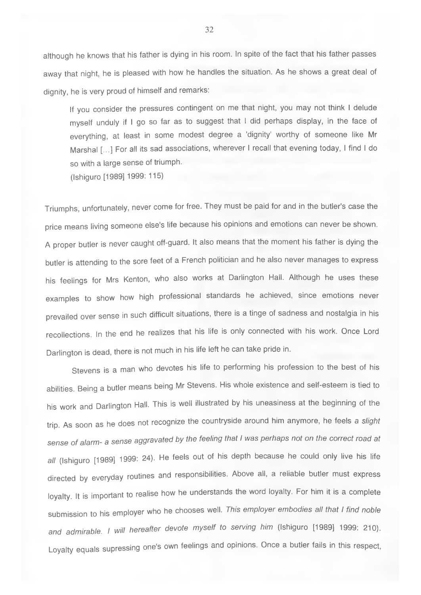although he knows that his father is dying in his room. In spite of the fact that his father passes away that night, he is pleased with how he handles the situation. As he shows a great deal of dignity, he is very proud of himself and remarks;

If you consider the pressures contingent on me that night, you may not think I delude myself unduly if I go so far as to suggest that I did perhaps display, in the face of everything, at least in some modest degree a 'dignity' worthy of someone like Mr Marshal [...] For all its sad associations, wherever I recall that evening today, I find I do so with a large sense of triumph.

(Ishiguro [1989] 1999; 115)

Triumphs, unfortunately, never come for free. They must be paid for and in the butler's case the price means living someone else's life because his opinions and emotions can never be shown. A proper butler is never caught off-guard. It also means that the moment his father is dying the butler is attending to the sore feet of a French politician and he also never manages to express his feelings for Mrs Kenton, who also works at Darlington Hall. Although he uses these examples to show how high professional standards he achieved, since emotions never prevailed over sense in such difficult situations, there is a tinge of sadness and nostalgia in his recollections. In the end he realizes that his life is only connected with his work. Once Lord Darlington is dead, there is not much in his life left he can take pride in.

Stevens is a man who devotes his life to performing his profession to the best of his abilities. Being a butler means being Mr Stevens. His whole existence and self-esteem is tied to his work and Darlington Hall. This is well illustrated by his uneasiness at the beginning of the trip. As soon as he does not recognize the countryside around him anymore, he feels a *slight sense of alarm- a sense aggravated by the feeling that I was perhaps not on the correct road at all* (Ishiguro [1989] 1999: 24). He feels out of his depth because he could only live his life directed by everyday routines and responsibilities. Above all, a reliable butler must express loyalty. It is important to realise how he understands the word loyalty. For him it is a complete submission to his employer who he chooses well. *This employer embodies all that I find noble and admirable. I will hereafter devote myself to serving him* (Ishiguro [1989] 1999: 210). Loyalty equals supressing one's own feelings and opinions. Once a butler fails in this respect.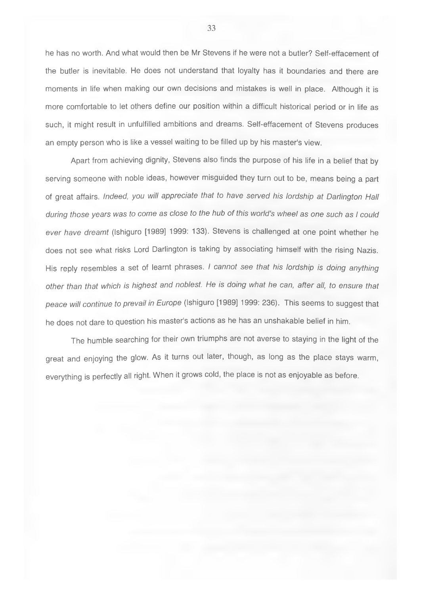he has no worth. And what would then be Mr Stevens if he were not a butler? Self-effacement of the butler is inevitable. He does not understand that loyalty has it boundaries and there are moments in life when making our own decisions and mistakes is well in place. Although it is more comfortable to let others define our position within a difficult historical period or in life as such, it might result in unfulfilled ambitions and dreams. Self-effacement of Stevens produces an empty person who is like a vessel waiting to be filled up by his master's view.

Apart from achieving dignity, Stevens also finds the purpose of his life in a belief that by serving someone with noble ideas, however misguided they turn out to be, means being a part of great affairs. *Indeed, you will appreciate that to have served his lordship at Darlington Hall during those years was to come as close to the hub of this world's wheel as one such as I could ever have dreamt* (Ishiguro [1989] 1999: 133). Stevens is challenged at one point whether he does not see what risks Lord Darlington is taking by associating himself with the rising Nazis. His reply resembles a set of learnt phrases. *I cannot see that his lordship is doing anything other than that which is highest and noblest. He is doing what he can, after all, to ensure that peace will continue to prevail in Europe* (Ishiguro [1989] 1999: 236). This seems to suggest that he does not dare to question his master's actions as he has an unshakable belief in him.

The humble searching for their own triumphs are not averse to staying in the light of the great and enjoying the glow. As it turns out later, though, as long as the place stays warm, everything is perfectly all right. When it grows cold, the place is not as enjoyable as before.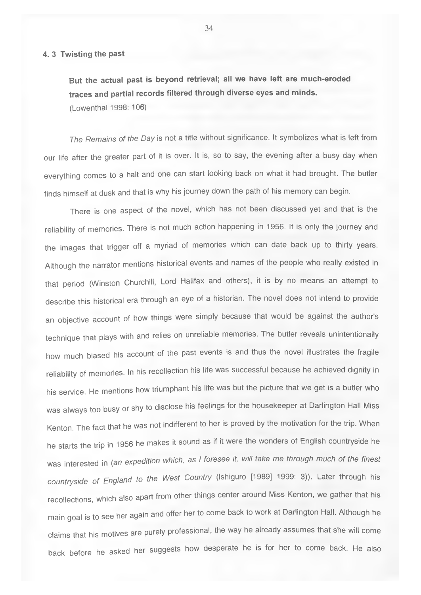#### **4. 3 Twisting the past**

**But the actual past is beyond retrieval; all we have left are much-eroded traces and partial records filtered through diverse eyes and minds.** (Lowenthal 1998: 106)

*The Remains of the Day* is not a title without significance. It symbolizes what is left from our life after the greater part of it is over. It is, so to say, the evening after a busy day when everything comes to a halt and one can start looking back on what it had brought. The butler finds himself at dusk and that is why his journey down the path of his memory can begin.

There is one aspect of the novel, which has not been discussed yet and that is the reliability of memories. There is not much action happening in 1956. It is only the journey and the images that trigger off a myriad of memories which can date back up to thirty years. Although the narrator mentions historical events and names of the people who really existed in that period (Winston Churchill, Lord Halifax and others), it is by no means an attempt to describe this historical era through an eye of a historian. The novel does not intend to provide an objective account of how things were simply because that would be against the author's technique that plays with and relies on unreliable memories. The butler reveals unintentionally how much biased his account of the past events is and thus the novel illustrates the fragile reliability of memories. In his recollection his life was successful because he achieved dignity in his service. He mentions how triumphant his life was but the picture that we get is a butler who was always too busy or shy to disclose his feelings for the housekeeper at Darlington Hall Miss Kenton. The fact that he was not indifferent to her is proved by the motivation for the trip. When he starts the trip in 1956 he makes it sound as if it were the wonders of English countryside he was interested in *{an expedition which, as I foresee it, will take me through much of the finest countryside of England to the West Country* (ishiguro [1989] 1999: 3)). Later through his recollections, which also apart from other things center around Miss Kenton, we gather that his main goal is to see her again and offer her to come back to work at Darlington Hall. Although he claims that his motives are purely professional, the way he already assumes that she will come back before he asked her suggests how desperate he is for her to come back. He also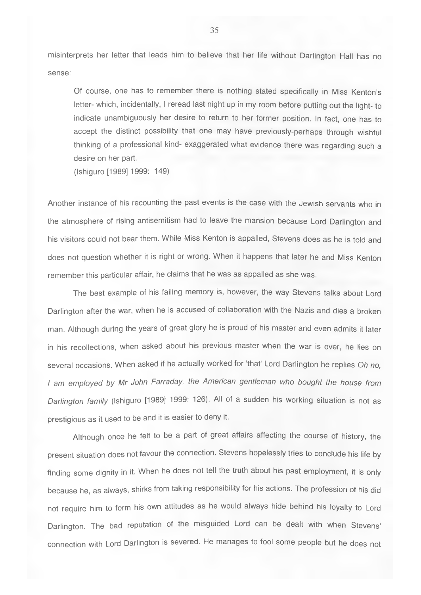misinterprets her letter that leads him to believe that her life without Darlington Hall has no sense:

Of course, one has to remember there is nothing stated specifically in Miss Kenton's letter- which, incidentally, I reread last night up in my room before putting out the light- to indicate unambiguously her desire to return to her former position. In fact, one has to accept the distinct possibility that one may have previously-perhaps through wishful thinking of a professional kind- exaggerated what evidence there was regarding such a desire on her part.

(Ishiguro [1989] 1999: 149)

Another instance of his recounting the past events is the case with the Jewish servants who in the atmosphere of rising antisemitism had to leave the mansion because Lord Darlington and his visitors could not bear them. While Miss Kenton is appalled, Stevens does as he is told and does not question whether it is right or wrong. When it happens that later he and Miss Kenton remember this particular affair, he claims that he was as appalled as she was.

The best example of his failing memory is, however, the way Stevens talks about Lord Darlington after the war, when he is accused of collaboration with the Nazis and dies a broken man. Although during the years of great glory he is proud of his master and even admits it later in his recollections, when asked about his previous master when the war is over, he lies on several occasions. When asked if he actually worked for 'that' Lord Darlington he replies *Oh no, I am employed by Mr John Farraday, the American gentleman who bought the house from Darlington family* (Ishiguro [1989] 1999: 126). All of a sudden his working situation is not as prestigious as it used to be and it is easier to deny it.

Although once he felt to be a part of great affairs affecting the course of history, the present situation does not favour the connection. Stevens hopelessly tries to conclude his life by finding some dignity in it. When he does not tell the truth about his past employment, it is only because he, as always, shirks from taking responsibility for his actions. The profession of his did not require him to form his own attitudes as he would always hide behind his loyalty to Lord Darlington. The bad reputation of the misguided Lord can be dealt with when Stevens' connection with Lord Darlington is severed. He manages to fool some people but he does not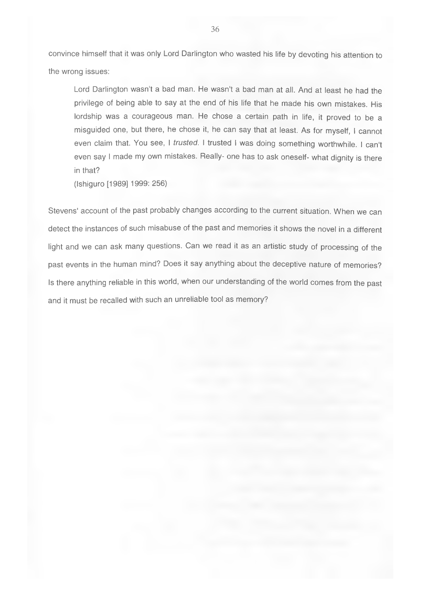convince himself that it was only Lord Darlington who wasted his life by devoting his attention to the wrong issues:

Lord Darlington wasn't a bad man. He wasn't a bad man at all. And at least he had the privilege of being able to say at the end of his life that he made his own mistakes. His lordship was a courageous man. He chose a certain path in life, it proved to be a misguided one, but there, he chose it, he can say that at least. As for myself, I cannot even claim that. You see, I *trusted.* I trusted I was doing something worthwhile. I can't even say I made my own mistakes. Really- one has to ask oneself- what dignity is there in that?

(Ishiguro [1989] 1999: 256)

Stevens' account of the past probably changes according to the current situation. When we can detect the instances of such misabuse of the past and memories it shows the novel in a different light and we can ask many questions. Can we read it as an artistic study of processing of the past events in the human mind? Does it say anything about the deceptive nature of memories? Is there anything reliable in this world, when our understanding of the world comes from the past and it must be recalled with such an unreliable tool as memory?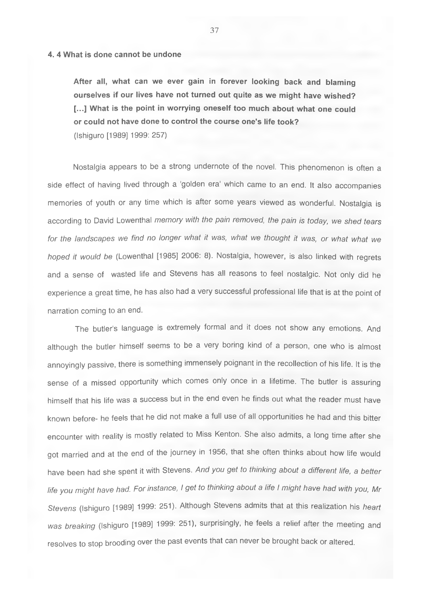#### **4. 4 What is done cannot be undone**

**After all, what can we ever gain in forever looking back and blaming ourselves if our lives have not turned out quite as we might have wished? [...] What is the point in worrying oneself too much about what one could or could not have done to control the course one's life took?** (Ishiguro [1989] 1999; 257)

Nostalgia appears to be a strong undernote of the novel. This phenomenon is often a side effect of having lived through a 'golden era' which came to an end. It also accompanies memories of youth or any time which is after some years viewed as wonderful. Nostalgia is according to David Lowenthal *memory with the pain removed, the pain is today, we shed tears for the landscapes we find no longer what it was, what we thought it was, or what what we hoped it would be* (Lowenthal [1985] 2006; 8). Nostalgia, however, is also linked with regrets and a sense of wasted life and Stevens has all reasons to feel nostalgic. Not only did he experience a great time, he has also had a very successful professional life that is at the point of narration coming to an end.

The butler's language is extremely formal and it does not show any emotions. And although the butler himself seems to be a very boring kind of a person, one who is almost annoyingly passive, there is something immensely poignant in the recollection of his life. It is the sense of a missed opportunity which comes only once in a lifetime. The butler is assuring himself that his life was a success but in the end even he finds out what the reader must have known before- he feels that he did not make a full use of all opportunities he had and this bitter encounter with reality is mostly related to Miss Kenton. She also admits, a long time after she got married and at the end of the journey in 1956, that she often thinks about how life would have been had she spent it with Stevens. *And you get to thinking about a different life, a better life you might have had For instance, I get to thinking about a life I might have had with you, Mr Stevens* (ishiguro [1989] 1999; 251). Although Stevens admits that at this realization his *heart was breaking* (Ishiguro [1989] 1999; 251), surprisingly, he feels a relief after the meeting and resolves to stop brooding over the past events that can never be brought back or altered.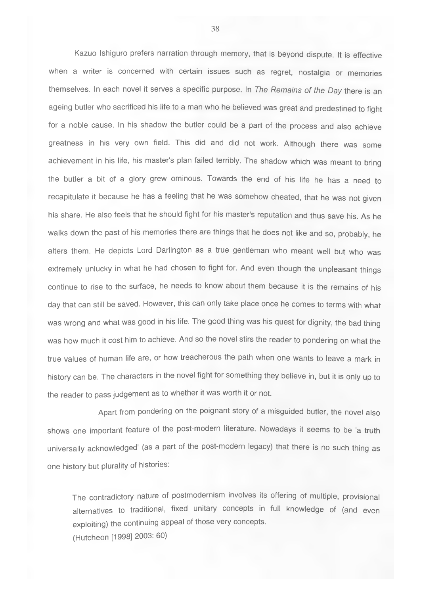Kazuo Ishiguro prefers narration through memory, that is beyond dispute. It is effective when a writer is concerned with certain issues such as regret, nostalgia or memories themselves. In each novel it serves a specific purpose. In *The Remains of the Day* there is an ageing butler who sacrificed his life to a man who he believed was great and predestined to fight for a noble cause. In his shadow the butler could be a part of the process and also achieve greatness in his very own field. This did and did not work. Although there was some achievement in his life, his master's plan failed terribly. The shadow which was meant to bring the butler a bit of a glory grew ominous. Towards the end of his life he has a need to recapitulate it because he has a feeling that he was somehow cheated, that he was not given his share. He also feels that he should fight for his master's reputation and thus save his. As he walks down the past of his memories there are things that he does not like and so, probably, he alters them. He depicts Lord Darlington as a true gentleman who meant well but who was extremely unlucky in what he had chosen to fight for. And even though the unpleasant things continue to rise to the surface, he needs to know about them because it is the remains of his day that can still be saved. However, this can only take place once he comes to terms with what was wrong and what was good in his life. The good thing was his quest for dignity, the bad thing was how much it cost him to achieve. And so the novel stirs the reader to pondering on what the true values of human life are, or how treacherous the path when one wants to leave a mark in history can be. The characters in the novel fight for something they believe in, but it is only up to the reader to pass judgement as to whether it was worth it or not.

Apart from pondering on the poignant story of a misguided butler, the novel also shows one important feature of the post-modern literature. Nowadays it seems to be 'a truth universally acknowledged' (as a part of the post-modern legacy) that there is no such thing as one history but plurality of histories:

The contradictory nature of postmodernism involves its offering of multiple, provisional alternatives to traditional, fixed unitary concepts in full knowledge of (and even exploiting) the continuing appeal of those very concepts. (Hutcheon [1998] 2003: 60)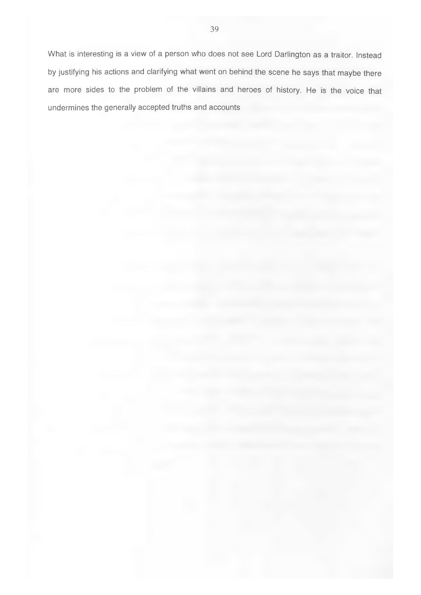What is interesting is a view of a person who does not see Lord Darlington as a traitor. Instead by justifying his actions and clarifying what went on behind the scene he says that maybe there are more sides to the problem of the villains and heroes of history. He is the voice that undermines the generally accepted truths and accounts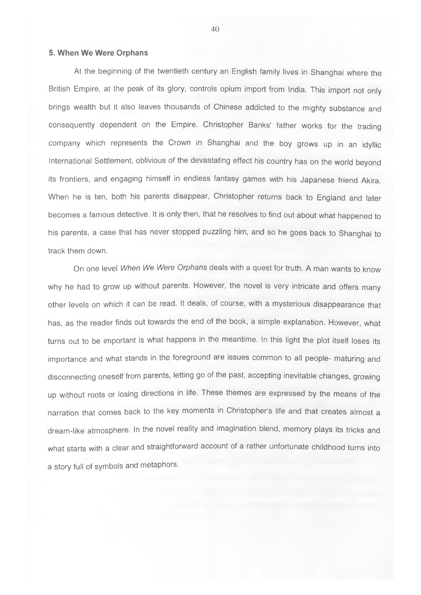# <span id="page-39-0"></span>**5. When We Were Orphans**

At the beginning of the twentieth century an English family lives in Shanghai where the British Empire, at the peak of its glory, controls opium import from India. This import not only brings wealth but it also leaves thousands of Chinese addicted to the mighty substance and consequently dependent on the Empire. Christopher Banks' father works for the trading company which represents the Crown in Shanghai and the boy grows up in an idyllic International Settlement, oblivious of the devastating effect his country has on the world beyond its frontiers, and engaging himself in endless fantasy games with his Japanese friend Akira. When he is ten, both his parents disappear, Christopher returns back to England and later becomes a famous detective. It is only then, that he resolves to find out about what happened to his parents, a case that has never stopped puzzling him, and so he goes back to Shanghai to track them down.

On one level *When We Were Orphans* deals with a quest for truth. A man wants to know why he had to grow up without parents. However, the novel is very intricate and offers many other levels on which it can be read. It deals, of course, with a mysterious disappearance that has, as the reader finds out towards the end of the book, a simple explanation. However, what turns out to be important is what happens in the meantime. In this light the plot itself loses its importance and what stands in the foreground are issues common to all people- maturing and disconnecting oneself from parents, letting go of the past, accepting inevitable changes, growing up without roots or losing directions in life. These themes are expressed by the means of the narration that comes back to the key moments in Christopher's life and that creates almost a dream-like atmosphere. In the novel reality and imagination blend, memory plays its tricks and what starts with a clear and straightforward account of a rather unfortunate childhood turns into a story full of symbols and metaphors.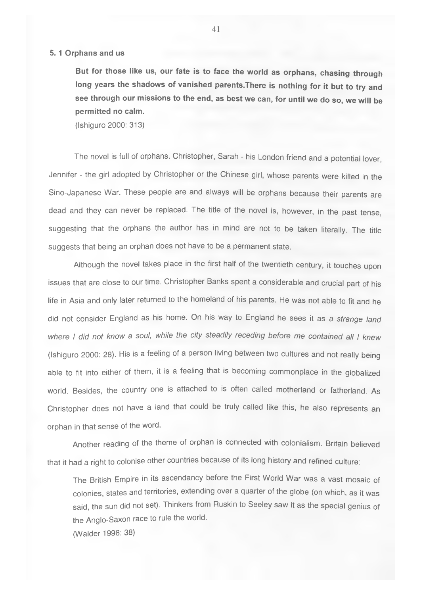### **5.1 Orphans and us**

**But for those like us, our fate is to face the world as orphans, chasing through long years the shadows of vanished parents.There is nothing for it but to try and see through our missions to the end, as best we can, for until we do so, we will be permitted no calm.**

(Ishiguro 2000: 313)

The novel is full of orphans. Christopher, Sarah - his London friend and a potential lover, Jennifer - the girl adopted by Christopher or the Chinese girl, whose parents were killed in the Sino-Japanese War. These people are and always will be orphans because their parents are dead and they can never be replaced. The title of the novel is, however, in the past tense, suggesting that the orphans the author has in mind are not to be taken literally. The title suggests that being an orphan does not have to be a permanent state.

Although the novel takes place in the first half of the twentieth century, it touches upon issues that are close to our time. Christopher Banks spent a considerable and crucial part of his life in Asia and only later returned to the homeland of his parents. He was not able to fit and he did not consider England as his home. On his way to England he sees it as a *strange land where I did not know a soul, while the city steadily receding before me contained all I knew* (Ishiguro 2000: 28). His is a feeling of a person living between two cultures and not really being able to fit into either of them, it is a feeling that is becoming commonplace in the globalized world. Besides, the country one is attached to is often called motherland or fatherland. As Christopher does not have a land that could be truly called like this, he also represents an orphan in that sense of the word.

Another reading of the theme of orphan is connected with colonialism. Britain believed that it had a right to colonise other countries because of its long history and refined culture:

The British Empire in its ascendancy before the First World War was a vast mosaic of colonies, states and territories, extending over a quarter of the globe (on which, as it was said, the sun did not set). Thinkers from Ruskin to Seeley saw it as the special genius of the Anglo-Saxon race to rule the world. (Walder 1998: 38)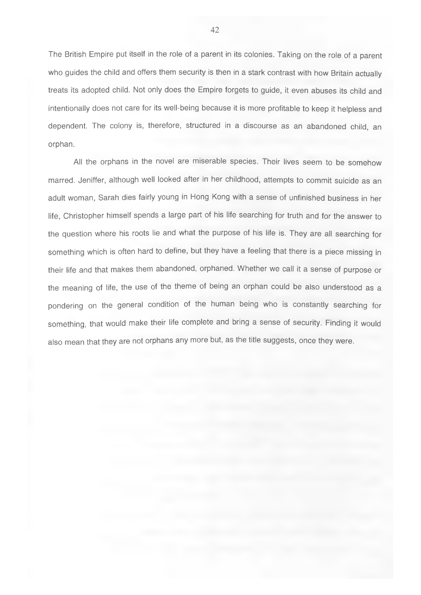The British Empire put itself in the role of a parent in its colonies. Taking on the role of a parent who quides the child and offers them security is then in a stark contrast with how Britain actually treats its adopted child. Not only does the Empire forgets to guide, it even abuses its child and intentionally does not care for its well-being because it is more profitable to keep it helpless and dependent. The colony is, therefore, structured in a discourse as an abandoned child, an orphan.

All the orphans in the novel are miserable species. Their lives seem to be somehow marred. Jeniffer, although well looked after in her childhood, attempts to commit suicide as an adult woman, Sarah dies fairly young in Hong Kong with a sense of unfinished business in her life, Christopher himself spends a large part of his life searching for truth and for the answer to the question where his roots lie and what the purpose of his life is. They are all searching for something which is often hard to define, but they have a feeling that there is a piece missing in their life and that makes them abandoned, orphaned. Whether we call it a sense of purpose or the meaning of life, the use of the theme of being an orphan could be also understood as a pondering on the general condition of the human being who is constantly searching for something, that would make their life complete and bring a sense of security. Finding it would also mean that they are not orphans any more but, as the title suggests, once they were.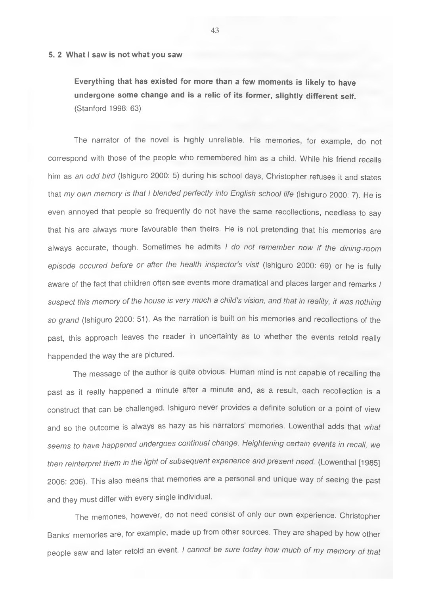#### **5. 2 What I saw is not what you saw**

**Everything that has existed for more than a few moments is likely to have undergone some change and is a relic of its former, slightly different self.** (Stanford 1998: 63)

The narrator of the novel is highly unreliable. His memories, for example, do not correspond with those of the people who remembered him as a child. While his friend recalls him as *an odd bird* (Ishiguro 2000: 5) during his school days, Christopher refuses it and states that *my own memory is that I blended perfectly into English school life* (Ishiguro 2000: 7). He is even annoyed that people so frequently do not have the same recollections, needless to say that his are always more favourable than theirs. He is not pretending that his memories are always accurate, though. Sometimes he admits *I do not remember now if the dining-room episode occured before or after the health inspector's visit* (Ishiguro 2000: 69) or he is fully aware of the fact that children often see events more dramatical and places larger and remarks *I suspect this memory of the house is very much a child's vision, and that in reality, it was nothing so grand* (Ishiguro 2000: 51). As the narration is built on his memories and recollections of the past, this approach leaves the reader in uncertainty as to whether the events retold really happended the way the are pictured.

The message of the author is quite obvious. Human mind is not capable of recalling the past as it really happened a minute after a minute and, as a result, each recollection is a construct that can be challenged. Ishiguro never provides a definite solution or a point of view and so the outcome is always as hazy as his narrators' memories. Lowenthal adds that *what seems to have happened undergoes continual change. Heightening certain events in recall, we then reinterpret them in the light of subsequent experience and present need.* (Lowenthal [1985] 2006: 206). This also means that memories are a personal and unique way of seeing the past and they must differ with every single individual.

The memories, however, do not need consist of only our own experience. Christopher Banks' memories are, for example, made up from other sources. They are shaped by how other people saw and later retold an event. *I cannot be sure today how much of my memory of that*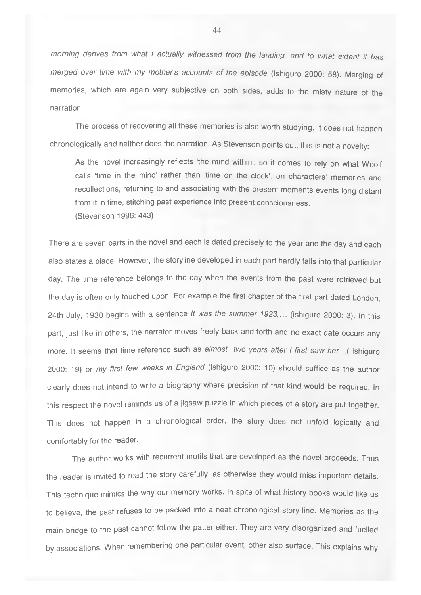*morning derives from what I actually witnessed from the landing, and to what extent it has merged over time with my mother's accounts of the episode* (Ishiguro 2000: 58). Merging of memories, which are again very subjective on both sides, adds to the misty nature of the narration.

The process of recovering all these memories is also worth studying. It does not happen chronologically and neither does the narration. As Stevenson points out, this is not a novelty:

As the novel increasingly reflects 'the mind within', so it comes to rely on what Woolf calls 'time in the mind' rather than 'time on the clock': on characters' memories and recollections, returning to and associating with the present moments events long distant from it in time, stitching past experience into present consciousness. (Stevenson 1996: 443)

There are seven parts in the novel and each is dated precisely to the year and the day and each also states a place. However, the storyline developed in each part hardly falls into that particular day. The time reference belongs to the day when the events from the past were retrieved but the day is often only touched upon. For example the first chapter of the first part dated London, 24th July, 1930 begins with a sentence *It was the summer 1923,...* (Ishiguro 2000: 3). In this part, just like in others, the narrator moves freely back and forth and no exact date occurs any more. It seems that time reference such as *almost two years after I first saw her...{* Ishiguro 2000: 19) or *my first few weeks in England* (Ishiguro 2000: 10) should suffice as the author clearly does not intend to write a biography where precision of that kind would be required. In this respect the novel reminds us of a jigsaw puzzle in which pieces of a story are put together. This does not happen in a chronological order, the story does not unfold logically and comfortably for the reader.

The author works with recurrent motifs that are developed as the novel proceeds. Thus the reader is invited to read the story carefully, as otherwise they would miss important details. This technique mimics the way our memory works. In spite of what history books would like us to believe, the past refuses to be packed into a neat chronological story line. Memories as the main bridge to the past cannot follow the patter either. They are very disorganized and fuelled by associations. When remembering one particular event, other also surface. This explains why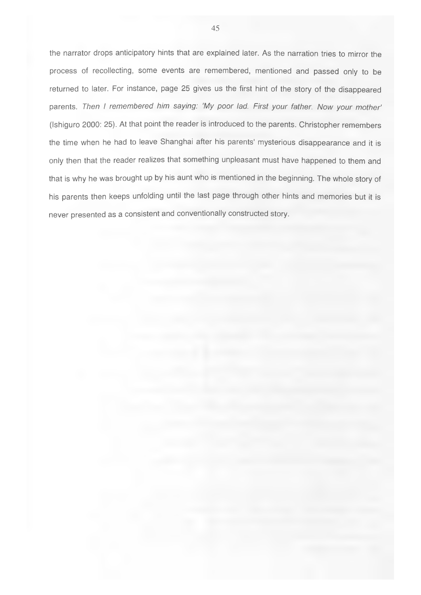the narrator drops anticipatory hints that are explained later. As the narration tries to mirror the process of recollecting, some events are remembered, mentioned and passed only to be returned to later. For instance, page 25 gives us the first hint of the story of the disappeared parents. Then I remembered him saying: 'My poor lad. First your father. Now your mother' (Ishiguro 2000: 25). At that point the reader is introduced to the parents. Christopher remembers the time when he had to leave Shanghai after his parents' mysterious disappearance and it is only then that the reader realizes that something unpleasant must have happened to them and that is why he was brought up by his aunt who is mentioned in the beginning. The whole story of his parents then keeps unfolding until the last page through other hints and memories but it is never presented as a consistent and conventionally constructed story.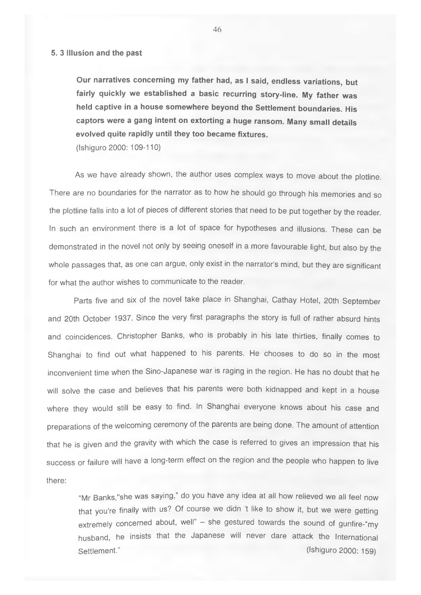#### **5. 3 Illusion and the past**

**Our narratives concerning my father had, as I said, endless variations, but fairly quickly we established a basic recurring story-line. My father was held captive in a house somewhere beyond the Settlement boundaries. His captors were a gang intent on extorting a huge ransom. Many small details evolved quite rapidly until they too became fixtures.**

(Ishiguro 2000: 109-110)

As we have already shown, the author uses complex ways to move about the plotline. There are no boundaries for the narrator as to how he should go through his memories and so the plotline falls into a lot of pieces of different stories that need to be put together by the reader. In such an environment there is a lot of space for hypotheses and illusions. These can be demonstrated in the novel not only by seeing oneself in a more favourable light, but also by the whole passages that, as one can argue, only exist in the narrator's mind, but they are significant for what the author wishes to communicate to the reader.

Parts five and six of the novel take place in Shanghai, Cathay Hotel, 20th September and 20th October 1937. Since the very first paragraphs the story is full of rather absurd hints and coincidences. Christopher Banks, who is probably in his late thirties, finally comes to Shanghai to find out what happened to his parents. He chooses to do so in the most inconvenient time when the Sino-Japanese war is raging in the region. He has no doubt that he will solve the case and believes that his parents were both kidnapped and kept in a house where they would still be easy to find. In Shanghai everyone knows about his case and preparations of the welcoming ceremony of the parents are being done. The amount of attention that he is given and the gravity with which the case is referred to gives an impression that his success or failure will have a long-term effect on the region and the people who happen to live there:

"Mr Banks,"she was saying," do you have any idea at all how relieved we all feel now that you're finally with us? Of course we didn't like to show it, but we were getting extremely concerned about, well" - she gestured towards the sound of gunfire-"my husband, he insists that the Japanese will never dare attack the International Settlement." (Ishiguro 2000: 159)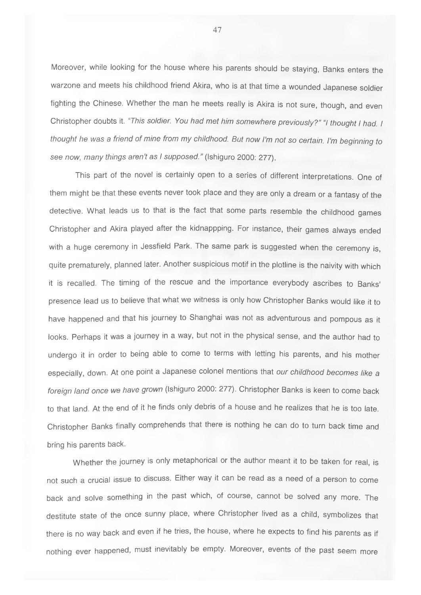Moreover, while looking for the house where his parents should be staying. Banks enters the warzone and meets his childhood friend Akira, who is at that time a wounded Japanese soldier fighting the Chinese. Whether the man he meets really is Akira is not sure, though, and even Christopher doubts it. *"This soldier. You had met him somewhere previously?" "I thought I had. I thought he* ivas a *friend of mine from my childhood. But now I'm not so certain. I'm beginning to see now, many things aren't as I supposed."* (Ishiguro 2000: 277).

This part of the novel is certainly open to a series of different interpretations. One of them might be that these events never took place and they are only a dream or a fantasy of the detective. What leads us to that is the fact that some parts resemble the childhood games Christopher and Akira played after the kidnappping. For instance, their games always ended with a huge ceremony in Jessfield Park. The same park is suggested when the ceremony is, quite prematurely, planned later. Another suspicious motif in the plotline is the naivity with which it is recalled. The timing of the rescue and the importance everybody ascribes to Banks' presence lead us to believe that what we witness is only how Christopher Banks would like it to have happened and that his journey to Shanghai was not as adventurous and pompous as it looks. Perhaps it was a journey in a way, but not in the physical sense, and the author had to undergo it in order to being able to come to terms with letting his parents, and his mother especially, down. At one point a Japanese colonel mentions that *our childhood becomes like a foreign land once we have grown* (Ishiguro 2000: 277). Christopher Banks is keen to come back to that land. At the end of it he finds only debris of a house and he realizes that he is too late. Christopher Banks finally comprehends that there is nothing he can do to turn back time and bring his parents back.

Whether the journey is only metaphorical or the author meant it to be taken for real, is not such a crucial issue to discuss. Either way it can be read as a need of a person to come back and solve something in the past which, of course, cannot be solved any more. The destitute state of the once sunny place, where Christopher lived as a child, symbolizes that there is no way back and even if he tries, the house, where he expects to find his parents as if nothing ever happened, must inevitably be empty. Moreover, events of the past seem more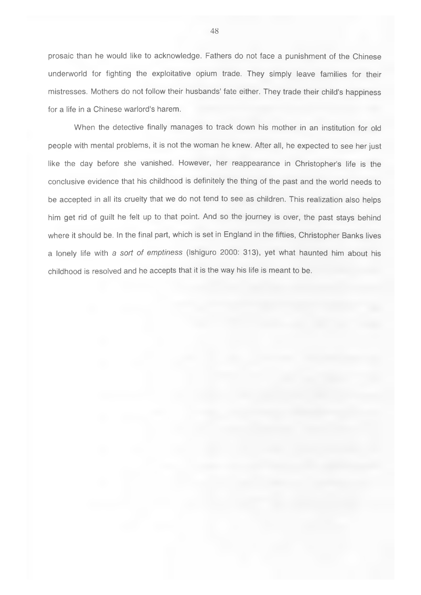prosaic than he would like to acknowledge. Fathers do not face a punishment of the Chinese underworld for fighting the exploitative opium trade. They simply leave families for their mistresses. Mothers do not follow their husbands' fate either. They trade their child's happiness for a life in a Chinese warlord's harem.

When the detective finally manages to track down his mother in an institution for old people with mental problems, it is not the woman he knew. After all, he expected to see her just like the day before she vanished. However, her reappearance in Christopher's life is the conclusive evidence that his childhood is definitely the thing of the past and the world needs to be accepted in all its cruelty that we do not tend to see as children. This realization also helps him get rid of guilt he felt up to that point. And so the journey is over, the past stays behind where it should be. In the final part, which is set in England in the fifties, Christopher Banks lives a lonely life with a *sort of emptiness* (Ishiguro 2000: 313), yet what haunted him about his childhood is resolved and he accepts that it is the way his life is meant to be.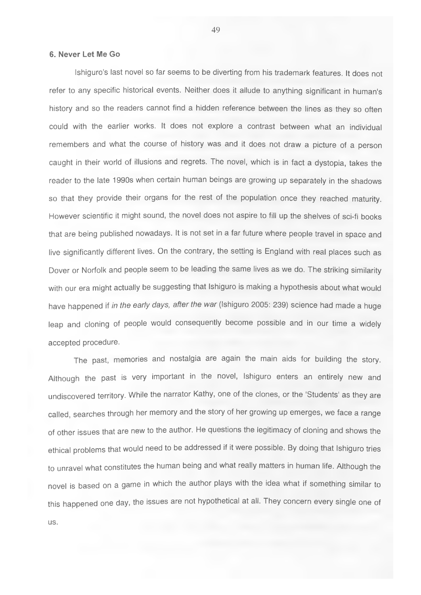#### <span id="page-48-0"></span>**6. Never Let Me Go**

Ishiguro's last novel so far seems to be diverting from his trademark features. It does not refer to any specific historical events. Neither does it allude to anything significant in human's history and so the readers cannot find a hidden reference between the lines as they so often could with the earlier works. It does not explore a contrast between what an individual remembers and what the course of history was and it does not draw a picture of a person caught in their world of illusions and regrets. The novel, which is in fact a dystopia, takes the reader to the late 1990s when certain human beings are growing up separately in the shadows so that they provide their organs for the rest of the population once they reached maturity. However scientific it might sound, the novel does not aspire to fill up the shelves of sci-fi books that are being published nowadays. It is not set in a far future where people travel in space and live significantly different lives. On the contrary, the setting is England with real places such as Dover or Norfolk and people seem to be leading the same lives as we do. The striking similarity with our era might actually be suggesting that Ishiguro is making a hypothesis about what would have happened if *in the early days, after the war* (Ishiguro 2005: 239) science had made a huge leap and cloning of people would consequently become possible and in our time a widely accepted procedure.

The past, memories and nostalgia are again the main aids for building the story. Although the past is very important in the novel, Ishiguro enters an entirely new and undiscovered territory. While the narrator Kathy, one of the clones, or the 'Students' as they are called, searches through her memory and the story of her growing up emerges, we face a range of other issues that are new to the author. He questions the legitimacy of cloning and shows the ethical problems that would need to be addressed if it were possible. By doing that Ishiguro tries to unravel what constitutes the human being and what really matters in human life. Although the novel is based on a game in which the author plays with the idea what if something similar to this happened one day, the issues are not hypothetical at all. They concern every single one of us.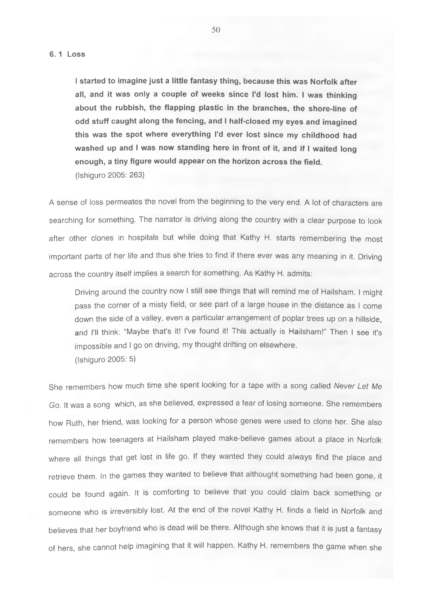**I started to imagine just a little fantasy thing, because this was Norfolk after all, and it was only a couple of weeks since I'd lost him. I was thinking about the rubbish, the flapping plastic in the branches, the shore-line of odd stuff caught along the fencing, and I half-closed my eyes and imagined this was the spot where everything I'd ever lost since my childhood had washed up and I was now standing here in front of it, and if I waited long enough, a tiny figure would appear on the horizon across the field.** (Ishiguro 2005: 263)

A sense of loss permeates the novel from the beginning to the very end. A lot of characters are searching for something. The narrator is driving along the country with a clear purpose to look after other clones in hospitals but while doing that Kathy H. starts remembering the most important parts of her life and thus she tries to find if there ever was any meaning in it. Driving across the country itself implies a search for something. As Kathy H. admits:

Driving around the country now I still see things that will remind me of Hailsham, I might pass the corner of a misty field, or see part of a large house in the distance as I come down the side of a valley, even a particular arrangement of poplar trees up on a hillside, and I'll think: "Maybe that's it! I've found it! This actually is Hailsham!" Then I see it's impossible and I go on driving, my thought drifting on elsewhere. (Ishiguro 2005: 5)

She remembers how much time she spent looking for a tape with a song called *Never Let Me Go.* It was a song which, as she believed, expressed a fear of losing someone. She remembers how Ruth, her friend, was looking for a person whose genes were used to clone her. She also remembers how teenagers at Hailsham played make-believe games about a place in Norfolk where all things that get lost in life go. If they wanted they could always find the place and retrieve them. In the games they wanted to believe that althought something had been gone, it could be found again. It is comforting to believe that you could claim back something or someone who is irreversibly lost. At the end of the novel Kathy H. finds a field in Norfolk and believes that her boyfriend who is dead will be there. Although she knows that it is just a fantasy of hers, she cannot help imagining that it will happen. Kathy H. remembers the game when she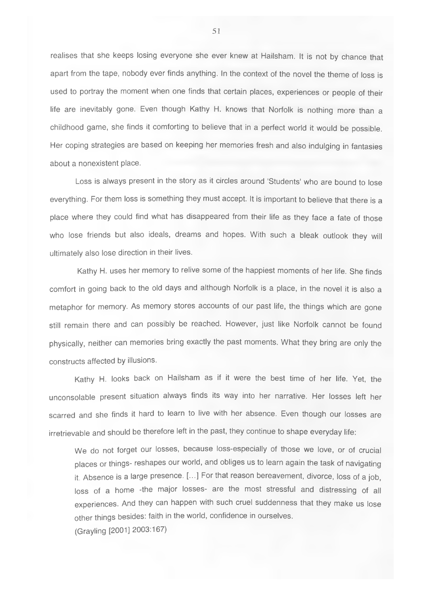realises that she keeps losing everyone she ever knew at Hailsham. It is not by chance that apart from the tape, nobody ever finds anything. In the context of the novel the theme of loss is used to portray the moment when one finds that certain places, experiences or people of their life are inevitably gone. Even though Kathy H. knows that Norfolk is nothing more than a childhood game, she finds it comforting to believe that in a perfect world it would be possible. Her coping strategies are based on keeping her memories fresh and also indulging in fantasies about a nonexistent place.

Loss is always present in the story as it circles around 'Students' who are bound to lose everything. For them loss is something they must accept. It is important to believe that there is a place where they could find what has disappeared from their life as they face a fate of those who lose friends but also ideals, dreams and hopes. With such a bleak outlook they will ultimately also lose direction in their lives.

Kathy H. uses her memory to relive some of the happiest moments of her life. She finds comfort in going back to the old days and although Norfolk is a place, in the novel it is also a metaphor for memory. As memory stores accounts of our past life, the things which are gone still remain there and can possibly be reached. However, just like Norfolk cannot be found physically, neither can memories bring exactly the past moments. What they bring are only the constructs affected by illusions.

Kathy H. looks back on Hailsham as if it were the best time of her life. Yet, the unconsolable present situation always finds its way into her narrative. Her losses left her scarred and she finds it hard to learn to live with her absence. Even though our losses are irretrievable and should be therefore left in the past, they continue to shape everyday life:

We do not forget our losses, because loss-especially of those we love, or of crucial places or things- reshapes our world, and obliges us to learn again the task of navigating it. Absence is a large presence. [...] For that reason bereavement, divorce, loss of a job, loss of a home -the major losses- are the most stressful and distressing of all experiences. And they can happen with such cruel suddenness that they make us lose other things besides: faith in the world, confidence in ourselves. (Grayling [2001] 2003:167)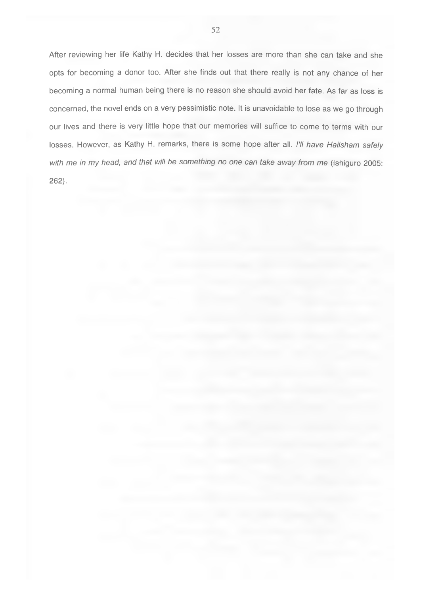After reviewing her life Kathy H. decides that her losses are more than she can take and she opts for becoming a donor too. After she finds out that there really is not any chance of her becoming a normal human being there is no reason she should avoid her fate. As far as loss is concerned, the novel ends on a very pessimistic note. It is unavoidable to lose as we go through our lives and there is very little hope that our memories will suffice to come to terms with our losses. However, as Kathy H. remarks, there is some hope after all. *I'll have Hailsham safely with me in my head, and that will be something no one can take away from me* (Ishiguro 2005: 262).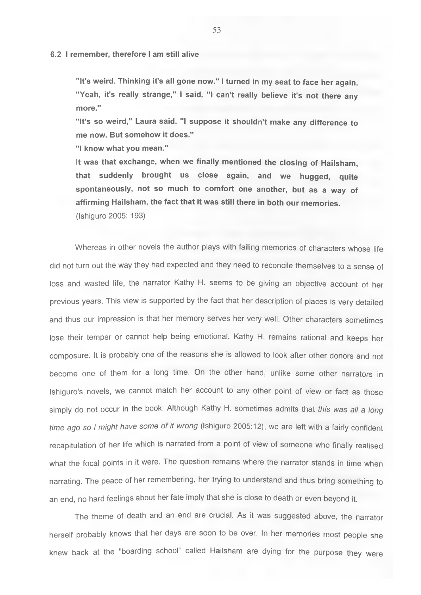#### **6.2 I remember, therefore I am still alive**

**"It's weird. Thinking it's all gone now." I turned in my seat to face her again. "Yeah, it's really strange," I said. "I can't really believe it's not there any more."**

**"It's so weird," Laura said. "I suppose it shouldn't make any difference to me now. But somehow it does."**

**"I know what you mean."**

**It was that exchange, when we finally mentioned the closing of Hailsham, that suddenly brought us close again, and we hugged, quite spontaneously, not so much to comfort one another, but as a way of affirming Hailsham, the fact that it was still there in both our memories.** (Ishiguro 2005: 193)

Whereas in other novels the author plays with failing memories of characters whose life did not turn out the way they had expected and they need to reconcile themselves to a sense of loss and wasted life, the narrator Kathy H. seems to be giving an objective account of her previous years. This view is supported by the fact that her description of places is very detailed and thus our impression is that her memory serves her very well. Other characters sometimes lose their temper or cannot help being emotional. Kathy H. remains rational and keeps her composure. It is probably one of the reasons she is allowed to look after other donors and not become one of them for a long time. On the other hand, unlike some other narrators in Ishiguro's novels, we cannot match her account to any other point of view or fact as those simply do not occur in the book. Although Kathy H. sometimes admits that *this was all a long time ago so I might have some of it wrong* (Ishiguro 2005:12), we are left with a fairly confident recapitulation of her life which is narrated from a point of view of someone who finally realised what the focal points in it were. The question remains where the narrator stands in time when narrating. The peace of her remembering, her trying to understand and thus bring something to an end, no hard feelings about her fate imply that she is close to death or even beyond it.

The theme of death and an end are crucial. As it was suggested above, the narrator herself probably knows that her days are soon to be over. In her memories most people she knew back at the "boarding school" called Hailsham are dying for the purpose they were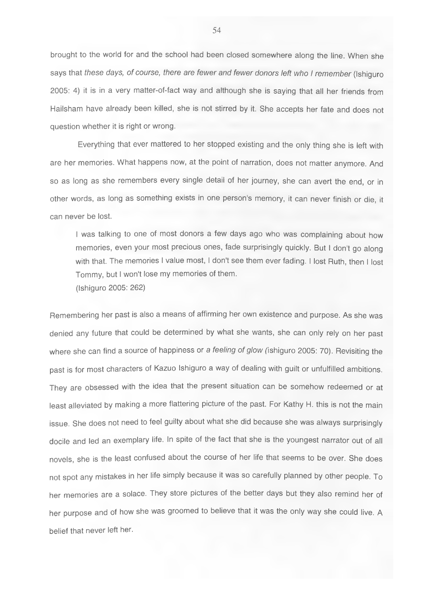brought to the world for and the school had been closed somewhere along the line. When she says that *these days, of course, there are fewer and fewer donors left who I remember* (Ishiguro 2005: 4) it is in a very matter-of-fact way and although she is saying that all her friends from Hailsham have already been killed, she is not stirred by it. She accepts her fate and does not question whether it is right or wrong.

Everything that ever mattered to her stopped existing and the only thing she is left with are her memories. What happens now, at the point of narration, does not matter anymore. And so as long as she remembers every single detail of her journey, she can avert the end, or in other words, as long as something exists in one person's memory, it can never finish or die, it can never be lost.

I was talking to one of most donors a few days ago who was complaining about how memories, even your most precious ones, fade surprisingly quickly. But I don't go along with that. The memories I value most, I don't see them ever fading. I lost Ruth, then I lost Tommy, but I won't lose my memories of them. (Ishiguro 2005: 262)

Remembering her past is also a means of affirming her own existence and purpose. As she was denied any future that could be determined by what she wants, she can only rely on her past where she can find a source of happiness or a *feeling of glow* (ishiguro 2005: 70). Revisiting the past is for most characters of Kazuo Ishiguro a way of dealing with guilt or unfulfilled ambitions. They are obsessed with the idea that the present situation can be somehow redeemed or at least alleviated by making a more flattering picture of the past. For Kathy H. this is not the main issue. She does not need to feel guilty about what she did because she was always surprisingly docile and led an exemplary life. In spite of the fact that she is the youngest narrator out of all novels, she is the least confused about the course of her life that seems to be over. She does not spot any mistakes in her life simply because it was so carefully planned by other people. To her memories are a solace. They store pictures of the better days but they also remind her of her purpose and of how she was groomed to believe that it was the only way she could live. A belief that never left her.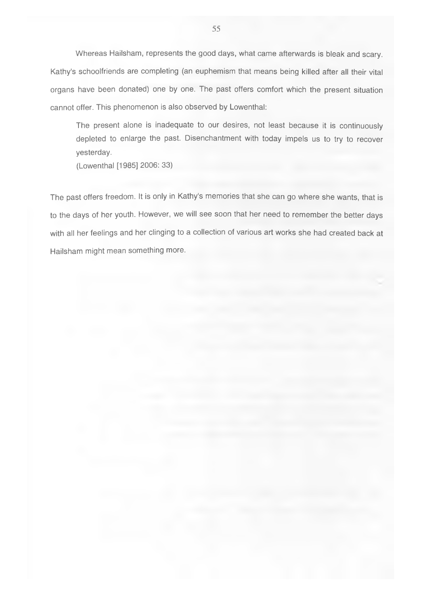Whereas Hailsham, represents the good days, what came afterwards is bleak and scary. Kathy's schoolfriends are completing (an euphemism that means being killed after all their vital organs have been donated) one by one. The past offers comfort which the present situation cannot offer. This phenomenon is also observed by Lowenthal:

The present alone is inadequate to our desires, not least because it is continuously depleted to enlarge the past. Disenchantment with today impels us to try to recover yesterday.

(Lowenthal [1985] 2006: 33)

The past offers freedom. It is only in Kathy's memories that she can go where she wants, that is to the days of her youth. However, we will see soon that her need to remember the better days with all her feelings and her clinging to a collection of various art works she had created back at Hailsham might mean something more.

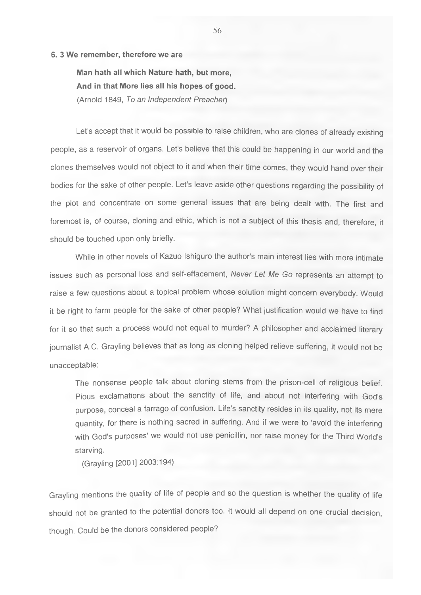#### **6. 3 We remember, therefore we are**

**Man hath all which Nature hath, but more. And in that More lies all his hopes of good.** (Arnold 1849, *To an Independent Preacher)*

Let's accept that it would be possible to raise children, who are clones of already existing people, as a reservoir of organs. Let's believe that this could be happening in our world and the clones themselves would not object to it and when their time comes, they would hand over their bodies for the sake of other people. Let's leave aside other questions regarding the possibility of the plot and concentrate on some general issues that are being dealt with. The first and foremost is, of course, cloning and ethic, which is not a subject of this thesis and, therefore, it should be touched upon only briefly.

While in other novels of Kazuo Ishiguro the author's main interest lies with more intimate issues such as personal loss and self-effacement. *Never Let Me Go* represents an attempt to raise a few questions about a topical problem whose solution might concern everybody. Would it be right to farm people for the sake of other people? What justification would we have to find for it so that such a process would not equal to murder? A philosopher and acclaimed literary iournalist A.C. Grayling believes that as long as cloning helped relieve suffering, it would not be unacceptable:

The nonsense people talk about cloning stems from the prison-cell of religious belief. Pious exclamations about the sanctity of life, and about not interfering with God's purpose, conceal a farrago of confusion. Life's sanctity resides in its quality, not its mere quantity, for there is nothing sacred in suffering. And if we were to 'avoid the interfering with God's purposes' we would not use penicillin, nor raise money for the Third World's starving.

(Grayling [2001] 2003:194)

Grayling mentions the quality of life of people and so the question is whether the quality of life should not be granted to the potential donors too. It would all depend on one crucial decision, though. Could be the donors considered people?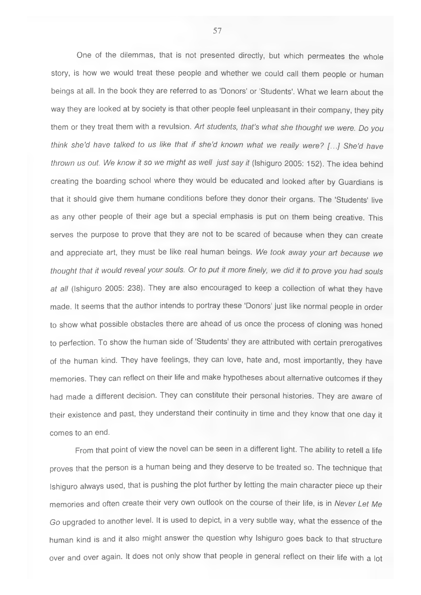One of the dilemmas, that is not presented directly, but which permeates the whole story, is how we would treat these people and whether we could call them people or human beings at all. In the book they are referred to as 'Donors' or 'Students'. What we learn about the way they are looked at by society is that other people feel unpleasant in their company, they pity them or they treat them with a revulsion. *Art students, that's what she thought we were. Do you think she'd have talked to us like that if she'd known what we really were? [...] She'd have thrown us out. We know it so we might as well just say it* (Ishiguro 2005: 152). The idea behind creating the boarding school where they would be educated and looked after by Guardians is that it should give them humane conditions before they donor their organs. The 'Students' live as any other people of their age but a special emphasis is put on them being creative. This serves the purpose to prove that they are not to be scared of because when they can create and appreciate art, they must be like real human beings. *We took away your art because we thought that it would reveal your souls. Or to put it more finely, we did it to prove you had souls at all* (Ishiguro 2005: 238). They are also encouraged to keep a collection of what they have made. It seems that the author intends to portray these 'Donors' just like normal people in order to show what possible obstacles there are ahead of us once the process of cloning was honed to perfection. To show the human side of 'Students' they are attributed with certain prerogatives of the human kind. They have feelings, they can love, hate and, most importantly, they have memories. They can reflect on their life and make hypotheses about alternative outcomes if they had made a different decision. They can constitute their personal histories. They are aware of their existence and past, they understand their continuity in time and they know that one day it comes to an end.

From that point of view the novel can be seen in a different light. The ability to retell a life proves that the person is a human being and they deserve to be treated so. The technique that Ishiguro always used, that is pushing the plot further by letting the main character piece up their memories and often create their very own outlook on the course of their life, is in *Never Let Me Go* upgraded to another level. It is used to depict, in a very subtle way, what the essence of the human kind is and it also might answer the question why Ishiguro goes back to that structure over and over again. It does not only show that people in general reflect on their life with a lot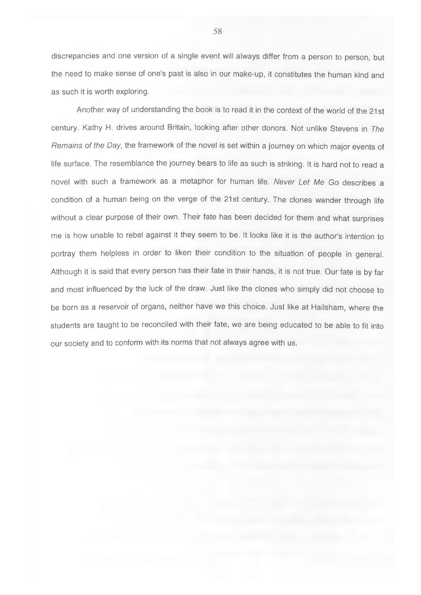discrepancies and one version of a single event will always differ from a person to person, but the need to make sense of one's past is also in our make-up, it constitutes the human kind and as such it is worth exploring.

Another way of understanding the book is to read it in the context of the world of the 21st century. Kathy H. drives around Britain, looking after other donors. Not unlike Stevens in *The Remains of the Day,* the framework of the novel is set within a journey on which major events of life surface. The resemblance the journey bears to life as such is striking. It is hard not to read a novel with such a framework as a metaphor for human life. *Never Let Me Go* describes a condition of a human being on the verge of the 21st century. The clones wander through life without a clear purpose of their own. Their fate has been decided for them and what surprises me is how unable to rebel against it they seem to be. It looks like it is the author's intention to portray them helpless in order to liken their condition to the situation of people in general. Although it is said that every person has their fate in their hands, it is not true. Our fate is by far and most influenced by the luck of the draw. Just like the clones who simply did not choose to be born as a reservoir of organs, neither have we this choice. Just like at Hailsham, where the students are taught to be reconciled with their fate, we are being educated to be able to fit into our society and to conform with its norms that not always agree with us.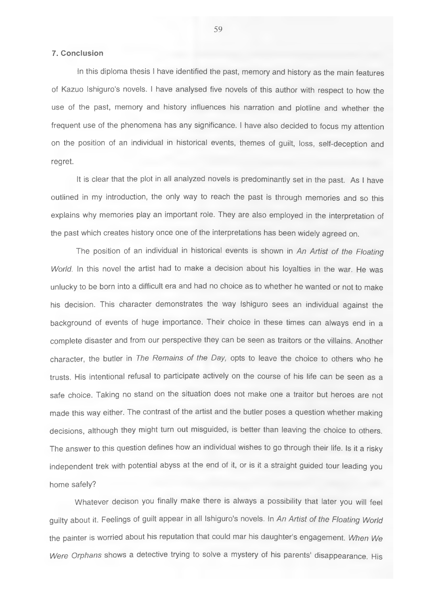# <span id="page-58-0"></span>**7. Conclusion**

In this diploma thesis I have identified the past, memory and history as the main features of Kazuo Ishiguro's novels. I have analysed five novels of this author with respect to how the use of the past, memory and history influences his narration and plotline and whether the frequent use of the phenomena has any significance. I have also decided to focus my attention on the position of an individual in historical events, themes of guilt, loss, self-deception and regret.

It is clear that the plot in all analyzed novels is predominantly set in the past. As I have outlined in my introduction, the only way to reach the past is through memories and so this explains why memories play an important role. They are also employed in the interpretation of the past which creates history once one of the interpretations has been widely agreed on.

The position of an individual in historical events is shown in *An Artist of the Floating World.* In this novel the artist had to make a decision about his loyalties in the war. He was unlucky to be born into a difficult era and had no choice as to whether he wanted or not to make his decision. This character demonstrates the way Ishiguro sees an individual against the background of events of huge importance. Their choice in these times can always end in a complete disaster and from our perspective they can be seen as traitors or the villains. Another character, the butler in *The Remains of the Day,* opts to leave the choice to others who he trusts. His intentional refusal to participate actively on the course of his life can be seen as a safe choice. Taking no stand on the situation does not make one a traitor but heroes are not made this way either. The contrast of the artist and the butler poses a question whether making decisions, although they might turn out misguided, is better than leaving the choice to others. The answer to this question defines how an individual wishes to go through their life. Is it a risky independent trek with potential abyss at the end of it, or is it a straight guided tour leading you home safely?

Whatever decison you finally make there is always a possibility that later you will feel guilty about it. Feelings of guilt appear in all Ishiguro's novels. In *An Artist of the Floating World* the painter is worried about his reputation that could mar his daughter's engagement. *When We Were Orphans* shows a detective trying to solve a mystery of his parents' disappearance. His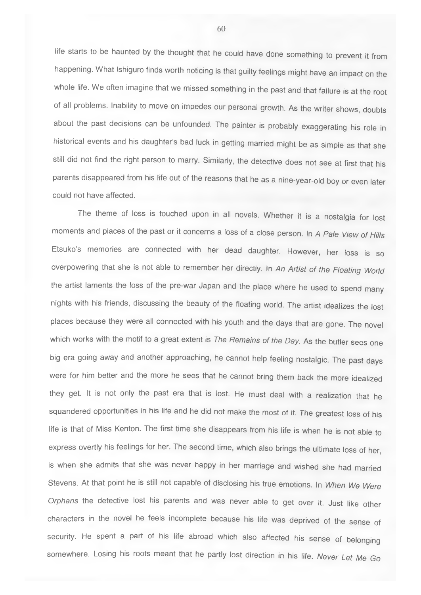life starts to be haunted by the thought that he could have done something to prevent it from happening. What Ishiguro finds worth noticing is that guilty feelings might have an impact on the whole life. We often imagine that we missed something in the past and that failure is at the root of all problems. Inability to move on impedes our personal growth. As the writer shows, doubts about the past decisions can be unfounded. The painter is probably exaggerating his role in historical events and his daughter's bad luck in getting married might be as simple as that she still did not find the right person to marry. Similarly, the detective does not see at first that his parents disappeared from his life out of the reasons that he as a nine-year-old boy or even later could not have affected.

The theme of loss is touched upon in all novels. Whether it is a nostalgia for lost moments and places of the past or it concerns a loss of a close person. In A Pale View of Hills Etsuko's memories are connected with her dead daughter. However, her loss is so overpowering that she is not able to remember her directly. In *An Artist of the Floating World* the artist laments the loss of the pre-war Japan and the place where he used to spend many nights with his friends, discussing the beauty of the floating world. The artist idealizes the lost places because they were all connected with his youth and the days that are gone. The novel which works with the motif to a great extent is *The Remains of the Day.* As the butler sees one big era going away and another approaching, he cannot help feeling nostalgic. The past days were for him better and the more he sees that he cannot bring them back the more idealized they get. It is not only the past era that is lost. He must deal with a realization that he squandered opportunities in his life and he did not make the most of it. The greatest loss of his life is that of Miss Kenton. The first time she disappears from his life is when he is not able to express overtly his feelings for her. The second time, which also brings the ultimate loss of her, is when she admits that she was never happy in her marriage and wished she had married Stevens. At that point he is still not capable of disclosing his true emotions. In *When We Were Orphans* the detective lost his parents and was never able to get over it. Just like other characters in the novel he feels incomplete because his life was deprived of the sense of security. He spent a part of his life abroad which also affected his sense of belonging somewhere. Losing his roots meant that he partly lost direction in his life. *Never Let Me Go*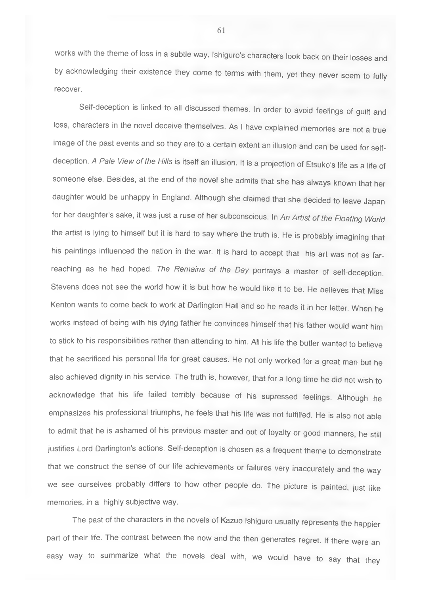works with the theme of loss in a subtle way. Ishiguro's characters look back on their losses and by acknowledging their existence they come to terms with them, yet they never seem to fully recover.

Self-deception is linked to all discussed themes. In order to avoid feelings of guilt and loss, characters in the novel deceive themselves. As I have explained memories are not a true image of the past events and so they are to a certain extent an illusion and can be used for selfdeception. *A Pale View of the Hills* is itself an illusion. It is a projection of Etsuko's life as a life of someone else. Besides, at the end of the novel she admits that she has always known that her daughter would be unhappy in England. Although she claimed that she decided to leave Japan for her daughter's sake, it was just a ruse of her subconscious. In *An Artist of the Floating World* the artist is lying to himself but it is hard to say where the truth is. He is probably imagining that his paintings influenced the nation in the war. It is hard to accept that his art was not as farreaching as he had hoped. *The Remains of the Day* portrays a master of self-deception. Stevens does not see the world how it is but how he would like it to be. He believes that Miss Kenton wants to come back to work at Darlington Hall and so he reads it in her letter. When he works instead of being with his dying father he convinces himself that his father would want him to stick to his responsibilities rather than attending to him. All his life the butler wanted to believe that he sacrificed his personal life for great causes. He not only worked for a great man but he also achieved dignity in his service. The truth is, however, that for a long time he did not wish to acknowledge that his life failed terribly because of his supressed feelings. Although he emphasizes his professional triumphs, he feels that his life was not fulfilled. He is also not able to admit that he is ashamed of his previous master and out of loyalty or good manners, he still justifies Lord Darlington's actions. Self-deception is chosen as a frequent theme to demonstrate that we construct the sense of our life achievements or failures very inaccurately and the way we see ourselves probably differs to how other people do. The picture is painted, just like memories, in a highly subjective way.

The past of the characters in the novels of Kazuo Ishiguro usually represents the happier part of their life. The contrast between the now and the then generates regret. If there were an easy way to summarize what the novels deal with, we would have to say that they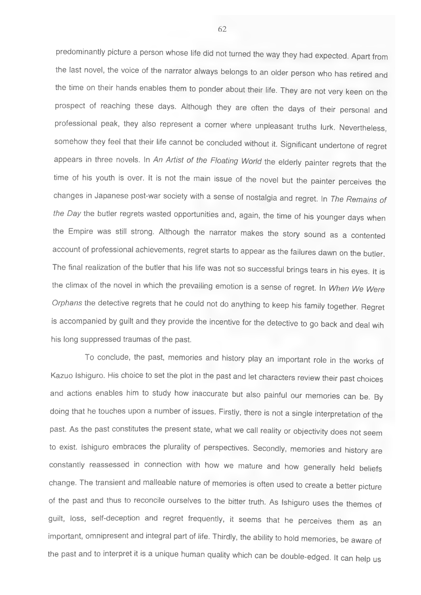predominantly picture a person whose life did not turned the way they had expected. Apart from the last novel, the voice of the narrator always belongs to an older person who has retired and the time on their hands enables them to ponder about their life. They are not very keen on the prospect of reaching these days. Although they are often the days of their personal and professional peak, they also represent a corner where unpleasant truths lurk. Nevertheless, somehow they feel that their life cannot be concluded without it. Significant undertone of regret appears in three novels. In *An Artist of the Floating World* the elderly painter regrets that the time of his youth is over. It is not the main issue of the novel but the painter perceives the changes in Japanese post-war society with a sense of nostalgia and regret. In *The Remains of the Day* the butler regrets wasted opportunities and, again, the time of his younger days when the Empire was still strong. Although the narrator makes the story sound as a contented account of professional achievements, regret starts to appear as the failures dawn on the butler. The final realization of the butler that his life was not so successful brings tears in his eyes. It is the climax of the novel in which the prevailing emotion is a sense of regret. In *When We Were Orphans* the detective regrets that he could not do anything to keep his family together. Regret is accompanied by guilt and they provide the incentive for the detective to go back and deal wih his long suppressed traumas of the past.

To conclude, the past, memories and history play an important role in the works of Kazuo Ishiguro. His choice to set the plot in the past and let characters review their past choices and actions enables him to study how inaccurate but also painful our memories can be. By doing that he touches upon a number of issues. Firstly, there is not a single interpretation of the past. As the past constitutes the present state, what we call reality or objectivity does not seem to exist. Ishiguro embraces the plurality of perspectives. Secondly, memories and history are constantly reassessed in connection with how we mature and how generally held beliefs change. The transient and malleable nature of memories is often used to create a better picture of the past and thus to reconcile ourselves to the bitter truth. As Ishiguro uses the themes of guilt, loss, self-deception and regret frequently, it seems that he perceives them as an important, omnipresent and integral part of life. Thirdly, the ability to hold memories, be aware of the past and to interpret it is a unique human quality which can be double-edged. It can help us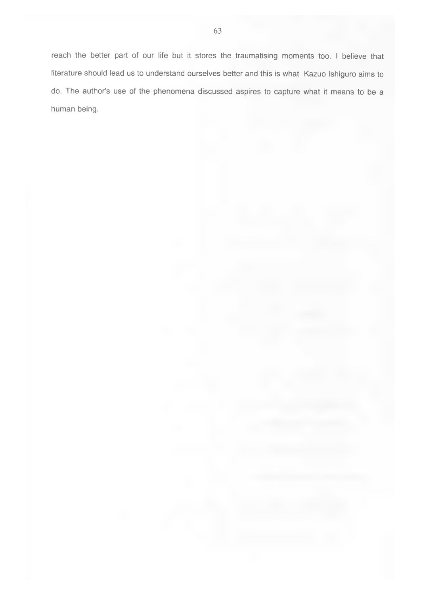reach the better part of our life but it stores the traumatising moments too. I believe that literature should lead us to understand ourselves better and this is what Kazuo Ishiguro aims to do. The author's use of the phenomena discussed aspires to capture what it means to be a human being.

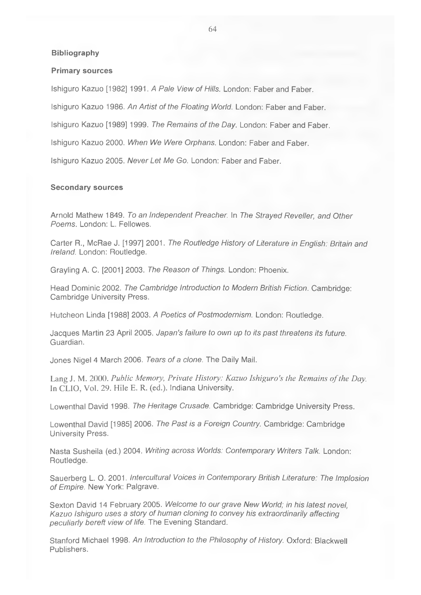#### **Bibliography**

#### **Primary sources**

Ishiguro Kazuo [1982] 1991. A Pale View of Hills. London: Faber and Faber.

Ishiguro Kazuo 1986. *An Artist of the Floating World.* London: Faber and Faber.

Ishiguro Kazuo [1989] 1999. *The Remains of the Day.* London; Faber and Faber.

Ishiguro Kazuo 2000. *When We Were Orphans.* London; Faber and Faber.

Ishiguro Kazuo 2005. *Never Let Me Go.* London; Faber and Faber.

#### **Secondary sources**

Arnold Mathew 1849. *To an Independent Preacher* In *The Strayed Reveller, and Other Poems.* London: L. Fellowes.

Carter R., McRae J. [1997] 2001. *The Routledge History of Literature in English: Britain and Ireland.* London; Routledge.

Grayling A. C. [2001] 2003. *The Reason of Things.* London; Phoenix.

Head Dominic 2002. *The Cambridge Introduction to Modern British Fiction.* Cambridge; Cambridge University Press.

Hutcheon Linda [1988] 2003. *A Poetics of Postmodernism.* London; Routledge.

Jacques Martin 23 April 2005. *Japan's failure to own up to its past threatens its future.* Guardian.

Jones Nigel 4 March 2006. *Tears of a clone.* The Daily Mail.

Lang J. M. 2000. *Public Memory, Private History: Kazuo Ishiguro's the Remains of the Day.* In CLIO, Vol. 29. Hile E. R. (ed.). Indiana University.

Lowenthal David 1998. *The Heritage Crusade.* Cambridge; Cambridge University Press.

Lowenthal David [1985] 2006. *The Past is a Foreign Country.* Cambridge; Cambridge University Press.

Nasta Susheila (ed.) 2004. *Writing across Worlds: Contemporary Writers Talk.* London; Routledge.

Sauerberg L. O. 2001. *Intercultural Voices in Contemporary British Literature: The Implosion of Empire.* New York: Palgrave.

Sexton David 14 February 2005. *Welcome to our grave New World; in his latest novel, Kazuo Ishiguro uses a story of human cloning to convey his extraordinarily affecting peculiarly bereft view of life.* The Evening Standard.

Stanford Michael 1998. *An Introduction to the Philosophy of History.* Oxford; Blackwell Publishers.